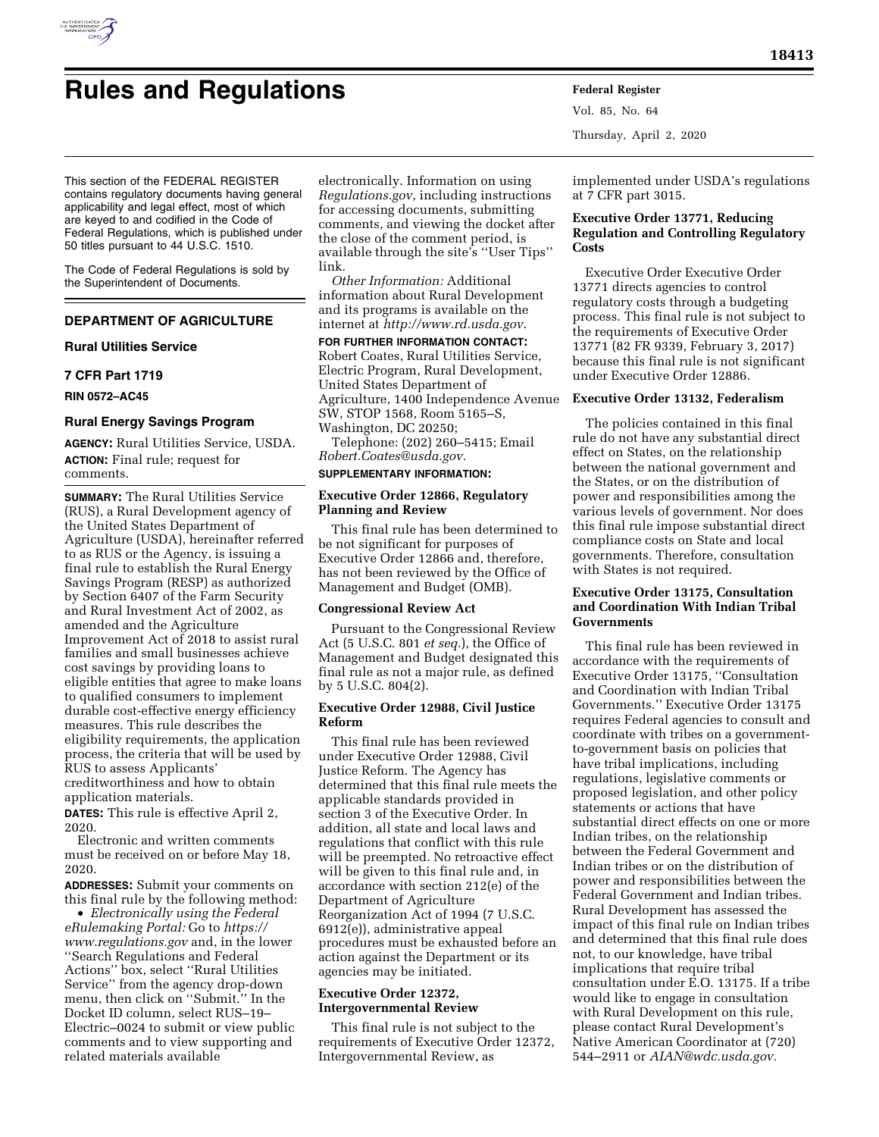

# **Rules and Regulations Federal Register**

Vol. 85, No. 64 Thursday, April 2, 2020

This section of the FEDERAL REGISTER contains regulatory documents having general applicability and legal effect, most of which are keyed to and codified in the Code of Federal Regulations, which is published under 50 titles pursuant to 44 U.S.C. 1510.

The Code of Federal Regulations is sold by the Superintendent of Documents.

# **DEPARTMENT OF AGRICULTURE**

# **Rural Utilities Service**

# **7 CFR Part 1719**

**RIN 0572–AC45** 

# **Rural Energy Savings Program**

**AGENCY:** Rural Utilities Service, USDA. **ACTION:** Final rule; request for comments.

**SUMMARY:** The Rural Utilities Service (RUS), a Rural Development agency of the United States Department of Agriculture (USDA), hereinafter referred to as RUS or the Agency, is issuing a final rule to establish the Rural Energy Savings Program (RESP) as authorized by Section 6407 of the Farm Security and Rural Investment Act of 2002, as amended and the Agriculture Improvement Act of 2018 to assist rural families and small businesses achieve cost savings by providing loans to eligible entities that agree to make loans to qualified consumers to implement durable cost-effective energy efficiency measures. This rule describes the eligibility requirements, the application process, the criteria that will be used by RUS to assess Applicants' creditworthiness and how to obtain application materials.

**DATES:** This rule is effective April 2, 2020.

Electronic and written comments must be received on or before May 18, 2020.

**ADDRESSES:** Submit your comments on this final rule by the following method:

• *Electronically using the Federal eRulemaking Portal:* Go to *[https://](https://www.regulations.gov) [www.regulations.gov](https://www.regulations.gov)* and, in the lower ''Search Regulations and Federal Actions'' box, select ''Rural Utilities Service'' from the agency drop-down menu, then click on ''Submit.'' In the Docket ID column, select RUS–19– Electric–0024 to submit or view public comments and to view supporting and related materials available

electronically. Information on using *Regulations.gov*, including instructions for accessing documents, submitting comments, and viewing the docket after the close of the comment period, is available through the site's ''User Tips'' link.

*Other Information:* Additional information about Rural Development and its programs is available on the internet at *<http://www.rd.usda.gov>*.

**FOR FURTHER INFORMATION CONTACT:**  Robert Coates, Rural Utilities Service, Electric Program, Rural Development, United States Department of Agriculture, 1400 Independence Avenue SW, STOP 1568, Room 5165–S, Washington, DC 20250;

Telephone: (202) 260–5415; Email *[Robert.Coates@usda.gov.](mailto:Robert.Coates@usda.gov)* 

# **SUPPLEMENTARY INFORMATION:**

# **Executive Order 12866, Regulatory Planning and Review**

This final rule has been determined to be not significant for purposes of Executive Order 12866 and, therefore, has not been reviewed by the Office of Management and Budget (OMB).

## **Congressional Review Act**

Pursuant to the Congressional Review Act (5 U.S.C. 801 *et seq.*), the Office of Management and Budget designated this final rule as not a major rule, as defined by 5 U.S.C. 804(2).

# **Executive Order 12988, Civil Justice Reform**

This final rule has been reviewed under Executive Order 12988, Civil Justice Reform. The Agency has determined that this final rule meets the applicable standards provided in section 3 of the Executive Order. In addition, all state and local laws and regulations that conflict with this rule will be preempted. No retroactive effect will be given to this final rule and, in accordance with section 212(e) of the Department of Agriculture Reorganization Act of 1994 (7 U.S.C. 6912(e)), administrative appeal procedures must be exhausted before an action against the Department or its agencies may be initiated.

# **Executive Order 12372, Intergovernmental Review**

This final rule is not subject to the requirements of Executive Order 12372, Intergovernmental Review, as

implemented under USDA's regulations at 7 CFR part 3015.

# **Executive Order 13771, Reducing Regulation and Controlling Regulatory Costs**

Executive Order Executive Order 13771 directs agencies to control regulatory costs through a budgeting process. This final rule is not subject to the requirements of Executive Order 13771 (82 FR 9339, February 3, 2017) because this final rule is not significant under Executive Order 12886.

# **Executive Order 13132, Federalism**

The policies contained in this final rule do not have any substantial direct effect on States, on the relationship between the national government and the States, or on the distribution of power and responsibilities among the various levels of government. Nor does this final rule impose substantial direct compliance costs on State and local governments. Therefore, consultation with States is not required.

# **Executive Order 13175, Consultation and Coordination With Indian Tribal Governments**

This final rule has been reviewed in accordance with the requirements of Executive Order 13175, ''Consultation and Coordination with Indian Tribal Governments.'' Executive Order 13175 requires Federal agencies to consult and coordinate with tribes on a governmentto-government basis on policies that have tribal implications, including regulations, legislative comments or proposed legislation, and other policy statements or actions that have substantial direct effects on one or more Indian tribes, on the relationship between the Federal Government and Indian tribes or on the distribution of power and responsibilities between the Federal Government and Indian tribes. Rural Development has assessed the impact of this final rule on Indian tribes and determined that this final rule does not, to our knowledge, have tribal implications that require tribal consultation under E.O. 13175. If a tribe would like to engage in consultation with Rural Development on this rule, please contact Rural Development's Native American Coordinator at (720) 544–2911 or *[AIAN@wdc.usda.gov.](mailto:AIAN@wdc.usda.gov)*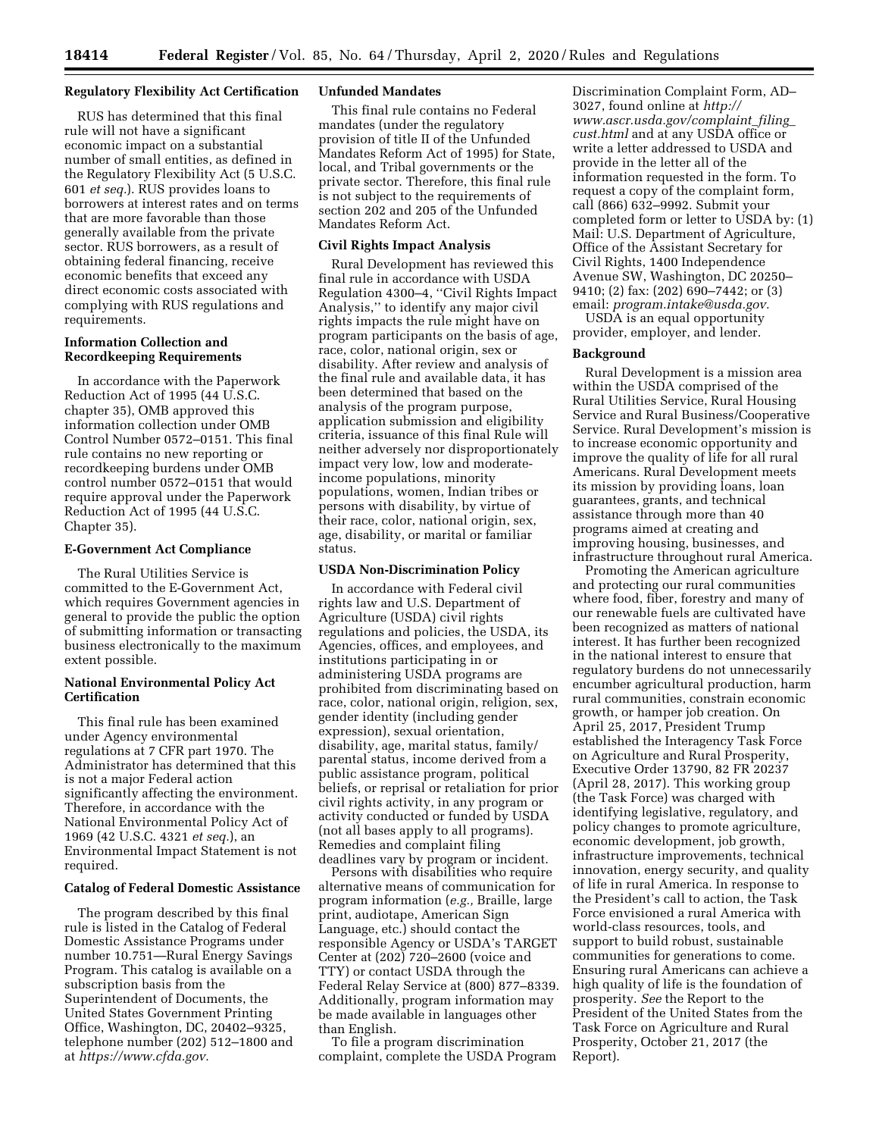## **Regulatory Flexibility Act Certification**

RUS has determined that this final rule will not have a significant economic impact on a substantial number of small entities, as defined in the Regulatory Flexibility Act (5 U.S.C. 601 *et seq.*). RUS provides loans to borrowers at interest rates and on terms that are more favorable than those generally available from the private sector. RUS borrowers, as a result of obtaining federal financing, receive economic benefits that exceed any direct economic costs associated with complying with RUS regulations and requirements.

# **Information Collection and Recordkeeping Requirements**

In accordance with the Paperwork Reduction Act of 1995 (44 U.S.C. chapter 35), OMB approved this information collection under OMB Control Number 0572–0151. This final rule contains no new reporting or recordkeeping burdens under OMB control number 0572–0151 that would require approval under the Paperwork Reduction Act of 1995 (44 U.S.C. Chapter 35).

## **E-Government Act Compliance**

The Rural Utilities Service is committed to the E-Government Act, which requires Government agencies in general to provide the public the option of submitting information or transacting business electronically to the maximum extent possible.

# **National Environmental Policy Act Certification**

This final rule has been examined under Agency environmental regulations at 7 CFR part 1970. The Administrator has determined that this is not a major Federal action significantly affecting the environment. Therefore, in accordance with the National Environmental Policy Act of 1969 (42 U.S.C. 4321 *et seq.*), an Environmental Impact Statement is not required.

# **Catalog of Federal Domestic Assistance**

The program described by this final rule is listed in the Catalog of Federal Domestic Assistance Programs under number 10.751—Rural Energy Savings Program. This catalog is available on a subscription basis from the Superintendent of Documents, the United States Government Printing Office, Washington, DC, 20402–9325, telephone number (202) 512–1800 and at *[https://www.cfda.gov.](https://www.cfda.gov)* 

# **Unfunded Mandates**

This final rule contains no Federal mandates (under the regulatory provision of title II of the Unfunded Mandates Reform Act of 1995) for State, local, and Tribal governments or the private sector. Therefore, this final rule is not subject to the requirements of section 202 and 205 of the Unfunded Mandates Reform Act.

# **Civil Rights Impact Analysis**

Rural Development has reviewed this final rule in accordance with USDA Regulation 4300–4, ''Civil Rights Impact Analysis,'' to identify any major civil rights impacts the rule might have on program participants on the basis of age, race, color, national origin, sex or disability. After review and analysis of the final rule and available data, it has been determined that based on the analysis of the program purpose, application submission and eligibility criteria, issuance of this final Rule will neither adversely nor disproportionately impact very low, low and moderateincome populations, minority populations, women, Indian tribes or persons with disability, by virtue of their race, color, national origin, sex, age, disability, or marital or familiar status.

#### **USDA Non-Discrimination Policy**

In accordance with Federal civil rights law and U.S. Department of Agriculture (USDA) civil rights regulations and policies, the USDA, its Agencies, offices, and employees, and institutions participating in or administering USDA programs are prohibited from discriminating based on race, color, national origin, religion, sex, gender identity (including gender expression), sexual orientation, disability, age, marital status, family/ parental status, income derived from a public assistance program, political beliefs, or reprisal or retaliation for prior civil rights activity, in any program or activity conducted or funded by USDA (not all bases apply to all programs). Remedies and complaint filing deadlines vary by program or incident.

Persons with disabilities who require alternative means of communication for program information (*e.g.,* Braille, large print, audiotape, American Sign Language, etc.) should contact the responsible Agency or USDA's TARGET Center at (202) 720–2600 (voice and TTY) or contact USDA through the Federal Relay Service at (800) 877–8339. Additionally, program information may be made available in languages other than English.

To file a program discrimination complaint, complete the USDA Program

Discrimination Complaint Form, AD– 3027, found online at *[http://](http://www.ascr.usda.gov/complaint_filing_cust.html) [www.ascr.usda.gov/complaint](http://www.ascr.usda.gov/complaint_filing_cust.html)*\_*filing*\_ *[cust.html](http://www.ascr.usda.gov/complaint_filing_cust.html)* and at any USDA office or write a letter addressed to USDA and provide in the letter all of the information requested in the form. To request a copy of the complaint form, call (866) 632–9992. Submit your completed form or letter to USDA by: (1) Mail: U.S. Department of Agriculture, Office of the Assistant Secretary for Civil Rights, 1400 Independence Avenue SW, Washington, DC 20250– 9410; (2) fax: (202) 690–7442; or (3) email: *[program.intake@usda.gov.](mailto:program.intake@usda.gov)* 

USDA is an equal opportunity provider, employer, and lender.

## **Background**

Rural Development is a mission area within the USDA comprised of the Rural Utilities Service, Rural Housing Service and Rural Business/Cooperative Service. Rural Development's mission is to increase economic opportunity and improve the quality of life for all rural Americans. Rural Development meets its mission by providing loans, loan guarantees, grants, and technical assistance through more than 40 programs aimed at creating and improving housing, businesses, and infrastructure throughout rural America.

Promoting the American agriculture and protecting our rural communities where food, fiber, forestry and many of our renewable fuels are cultivated have been recognized as matters of national interest. It has further been recognized in the national interest to ensure that regulatory burdens do not unnecessarily encumber agricultural production, harm rural communities, constrain economic growth, or hamper job creation. On April 25, 2017, President Trump established the Interagency Task Force on Agriculture and Rural Prosperity, Executive Order 13790, 82 FR 20237 (April 28, 2017). This working group (the Task Force) was charged with identifying legislative, regulatory, and policy changes to promote agriculture, economic development, job growth, infrastructure improvements, technical innovation, energy security, and quality of life in rural America. In response to the President's call to action, the Task Force envisioned a rural America with world-class resources, tools, and support to build robust, sustainable communities for generations to come. Ensuring rural Americans can achieve a high quality of life is the foundation of prosperity. *See* the Report to the President of the United States from the Task Force on Agriculture and Rural Prosperity, October 21, 2017 (the Report).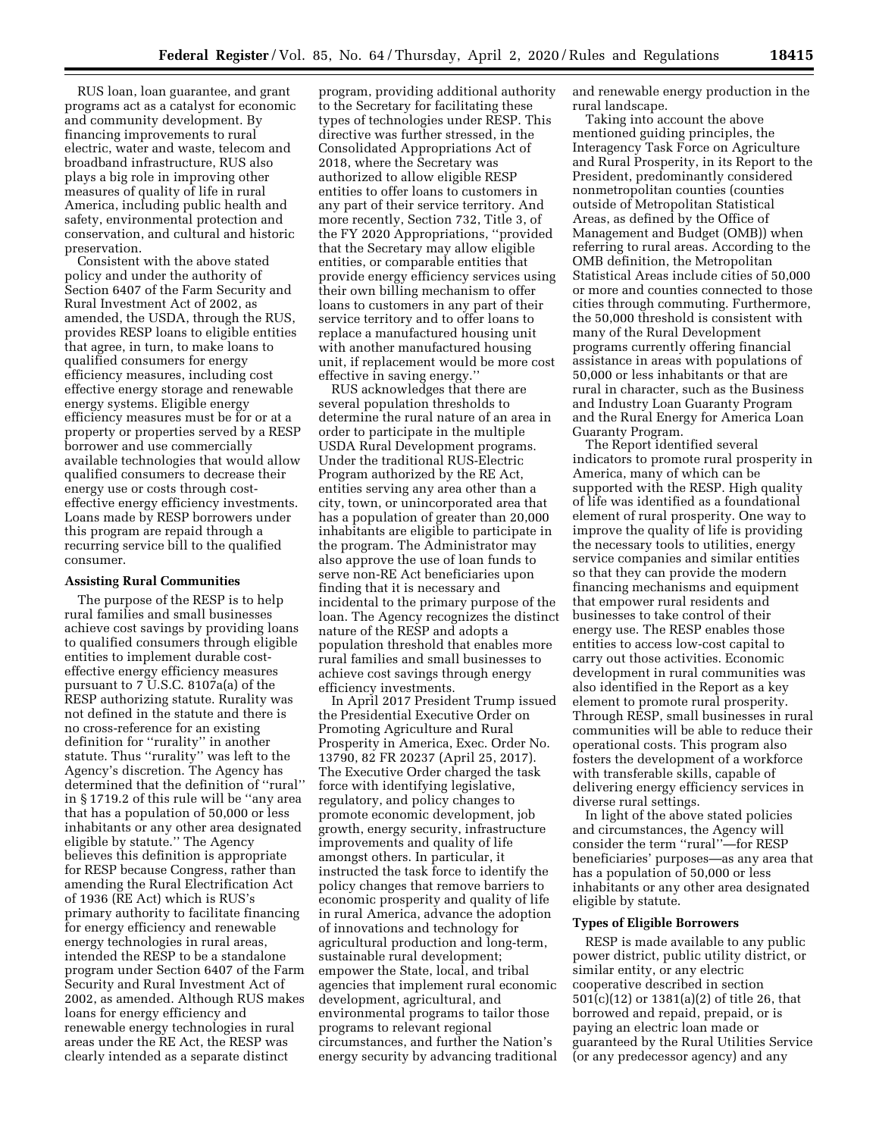RUS loan, loan guarantee, and grant programs act as a catalyst for economic and community development. By financing improvements to rural electric, water and waste, telecom and broadband infrastructure, RUS also plays a big role in improving other measures of quality of life in rural America, including public health and safety, environmental protection and conservation, and cultural and historic preservation.

Consistent with the above stated policy and under the authority of Section 6407 of the Farm Security and Rural Investment Act of 2002, as amended, the USDA, through the RUS, provides RESP loans to eligible entities that agree, in turn, to make loans to qualified consumers for energy efficiency measures, including cost effective energy storage and renewable energy systems. Eligible energy efficiency measures must be for or at a property or properties served by a RESP borrower and use commercially available technologies that would allow qualified consumers to decrease their energy use or costs through costeffective energy efficiency investments. Loans made by RESP borrowers under this program are repaid through a recurring service bill to the qualified consumer.

## **Assisting Rural Communities**

The purpose of the RESP is to help rural families and small businesses achieve cost savings by providing loans to qualified consumers through eligible entities to implement durable costeffective energy efficiency measures pursuant to 7 U.S.C. 8107a(a) of the RESP authorizing statute. Rurality was not defined in the statute and there is no cross-reference for an existing definition for ''rurality'' in another statute. Thus ''rurality'' was left to the Agency's discretion. The Agency has determined that the definition of ''rural'' in § 1719.2 of this rule will be ''any area that has a population of 50,000 or less inhabitants or any other area designated eligible by statute.'' The Agency believes this definition is appropriate for RESP because Congress, rather than amending the Rural Electrification Act of 1936 (RE Act) which is RUS's primary authority to facilitate financing for energy efficiency and renewable energy technologies in rural areas, intended the RESP to be a standalone program under Section 6407 of the Farm Security and Rural Investment Act of 2002, as amended. Although RUS makes loans for energy efficiency and renewable energy technologies in rural areas under the RE Act, the RESP was clearly intended as a separate distinct

program, providing additional authority to the Secretary for facilitating these types of technologies under RESP. This directive was further stressed, in the Consolidated Appropriations Act of 2018, where the Secretary was authorized to allow eligible RESP entities to offer loans to customers in any part of their service territory. And more recently, Section 732, Title 3, of the FY 2020 Appropriations, ''provided that the Secretary may allow eligible entities, or comparable entities that provide energy efficiency services using their own billing mechanism to offer loans to customers in any part of their service territory and to offer loans to replace a manufactured housing unit with another manufactured housing unit, if replacement would be more cost effective in saving energy.''

RUS acknowledges that there are several population thresholds to determine the rural nature of an area in order to participate in the multiple USDA Rural Development programs. Under the traditional RUS-Electric Program authorized by the RE Act, entities serving any area other than a city, town, or unincorporated area that has a population of greater than 20,000 inhabitants are eligible to participate in the program. The Administrator may also approve the use of loan funds to serve non-RE Act beneficiaries upon finding that it is necessary and incidental to the primary purpose of the loan. The Agency recognizes the distinct nature of the RESP and adopts a population threshold that enables more rural families and small businesses to achieve cost savings through energy efficiency investments.

In April 2017 President Trump issued the Presidential Executive Order on Promoting Agriculture and Rural Prosperity in America, Exec. Order No. 13790, 82 FR 20237 (April 25, 2017). The Executive Order charged the task force with identifying legislative, regulatory, and policy changes to promote economic development, job growth, energy security, infrastructure improvements and quality of life amongst others. In particular, it instructed the task force to identify the policy changes that remove barriers to economic prosperity and quality of life in rural America, advance the adoption of innovations and technology for agricultural production and long-term, sustainable rural development; empower the State, local, and tribal agencies that implement rural economic development, agricultural, and environmental programs to tailor those programs to relevant regional circumstances, and further the Nation's energy security by advancing traditional

and renewable energy production in the rural landscape.

Taking into account the above mentioned guiding principles, the Interagency Task Force on Agriculture and Rural Prosperity, in its Report to the President, predominantly considered nonmetropolitan counties (counties outside of Metropolitan Statistical Areas, as defined by the Office of Management and Budget (OMB)) when referring to rural areas. According to the OMB definition, the Metropolitan Statistical Areas include cities of 50,000 or more and counties connected to those cities through commuting. Furthermore, the 50,000 threshold is consistent with many of the Rural Development programs currently offering financial assistance in areas with populations of 50,000 or less inhabitants or that are rural in character, such as the Business and Industry Loan Guaranty Program and the Rural Energy for America Loan Guaranty Program.

The Report identified several indicators to promote rural prosperity in America, many of which can be supported with the RESP. High quality of life was identified as a foundational element of rural prosperity. One way to improve the quality of life is providing the necessary tools to utilities, energy service companies and similar entities so that they can provide the modern financing mechanisms and equipment that empower rural residents and businesses to take control of their energy use. The RESP enables those entities to access low-cost capital to carry out those activities. Economic development in rural communities was also identified in the Report as a key element to promote rural prosperity. Through RESP, small businesses in rural communities will be able to reduce their operational costs. This program also fosters the development of a workforce with transferable skills, capable of delivering energy efficiency services in diverse rural settings.

In light of the above stated policies and circumstances, the Agency will consider the term ''rural''—for RESP beneficiaries' purposes—as any area that has a population of 50,000 or less inhabitants or any other area designated eligible by statute.

# **Types of Eligible Borrowers**

RESP is made available to any public power district, public utility district, or similar entity, or any electric cooperative described in section 501(c)(12) or 1381(a)(2) of title 26, that borrowed and repaid, prepaid, or is paying an electric loan made or guaranteed by the Rural Utilities Service (or any predecessor agency) and any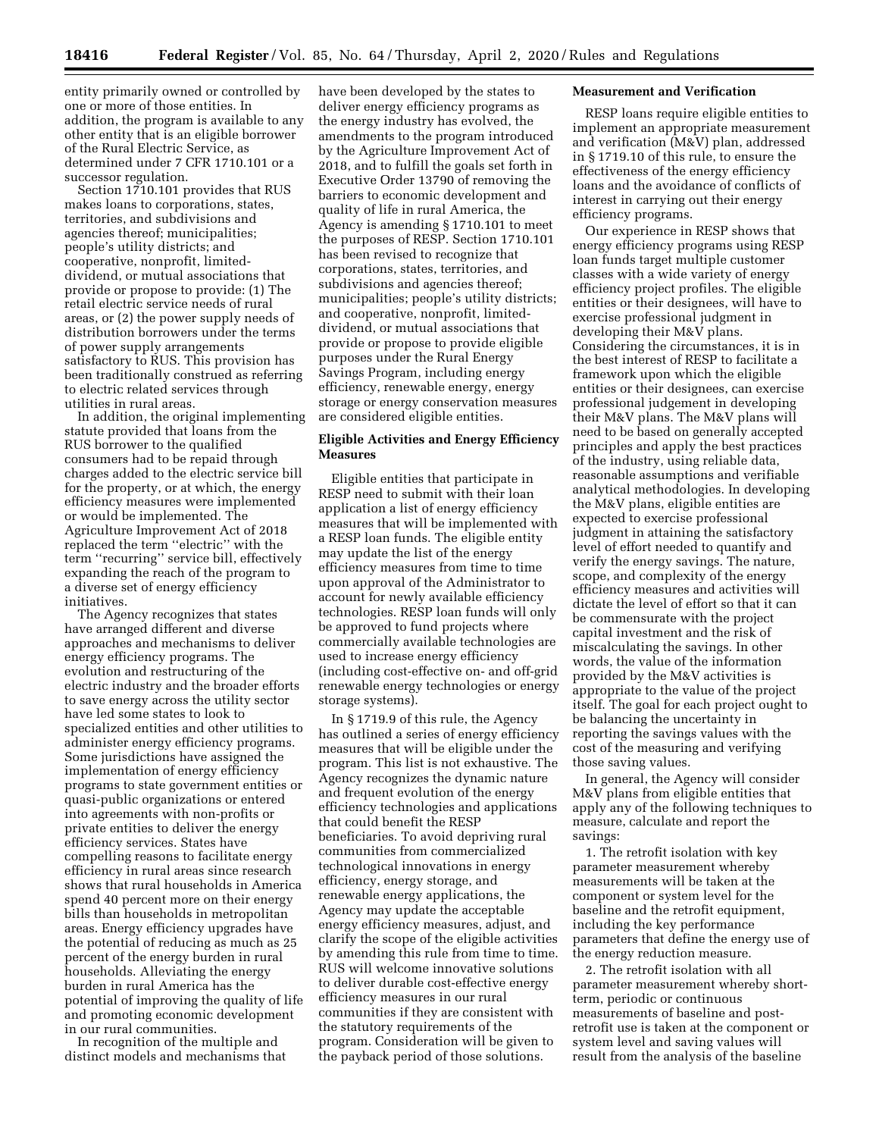entity primarily owned or controlled by one or more of those entities. In addition, the program is available to any other entity that is an eligible borrower of the Rural Electric Service, as determined under 7 CFR 1710.101 or a successor regulation.

Section 1710.101 provides that RUS makes loans to corporations, states, territories, and subdivisions and agencies thereof; municipalities; people's utility districts; and cooperative, nonprofit, limiteddividend, or mutual associations that provide or propose to provide: (1) The retail electric service needs of rural areas, or (2) the power supply needs of distribution borrowers under the terms of power supply arrangements satisfactory to RUS. This provision has been traditionally construed as referring to electric related services through utilities in rural areas.

In addition, the original implementing statute provided that loans from the RUS borrower to the qualified consumers had to be repaid through charges added to the electric service bill for the property, or at which, the energy efficiency measures were implemented or would be implemented. The Agriculture Improvement Act of 2018 replaced the term ''electric'' with the term ''recurring'' service bill, effectively expanding the reach of the program to a diverse set of energy efficiency initiatives.

The Agency recognizes that states have arranged different and diverse approaches and mechanisms to deliver energy efficiency programs. The evolution and restructuring of the electric industry and the broader efforts to save energy across the utility sector have led some states to look to specialized entities and other utilities to administer energy efficiency programs. Some jurisdictions have assigned the implementation of energy efficiency programs to state government entities or quasi-public organizations or entered into agreements with non-profits or private entities to deliver the energy efficiency services. States have compelling reasons to facilitate energy efficiency in rural areas since research shows that rural households in America spend 40 percent more on their energy bills than households in metropolitan areas. Energy efficiency upgrades have the potential of reducing as much as 25 percent of the energy burden in rural households. Alleviating the energy burden in rural America has the potential of improving the quality of life and promoting economic development in our rural communities.

In recognition of the multiple and distinct models and mechanisms that have been developed by the states to deliver energy efficiency programs as the energy industry has evolved, the amendments to the program introduced by the Agriculture Improvement Act of 2018, and to fulfill the goals set forth in Executive Order 13790 of removing the barriers to economic development and quality of life in rural America, the Agency is amending § 1710.101 to meet the purposes of RESP. Section 1710.101 has been revised to recognize that corporations, states, territories, and subdivisions and agencies thereof; municipalities; people's utility districts; and cooperative, nonprofit, limiteddividend, or mutual associations that provide or propose to provide eligible purposes under the Rural Energy Savings Program, including energy efficiency, renewable energy, energy storage or energy conservation measures are considered eligible entities.

# **Eligible Activities and Energy Efficiency Measures**

Eligible entities that participate in RESP need to submit with their loan application a list of energy efficiency measures that will be implemented with a RESP loan funds. The eligible entity may update the list of the energy efficiency measures from time to time upon approval of the Administrator to account for newly available efficiency technologies. RESP loan funds will only be approved to fund projects where commercially available technologies are used to increase energy efficiency (including cost-effective on- and off-grid renewable energy technologies or energy storage systems).

In § 1719.9 of this rule, the Agency has outlined a series of energy efficiency measures that will be eligible under the program. This list is not exhaustive. The Agency recognizes the dynamic nature and frequent evolution of the energy efficiency technologies and applications that could benefit the RESP beneficiaries. To avoid depriving rural communities from commercialized technological innovations in energy efficiency, energy storage, and renewable energy applications, the Agency may update the acceptable energy efficiency measures, adjust, and clarify the scope of the eligible activities by amending this rule from time to time. RUS will welcome innovative solutions to deliver durable cost-effective energy efficiency measures in our rural communities if they are consistent with the statutory requirements of the program. Consideration will be given to the payback period of those solutions.

## **Measurement and Verification**

RESP loans require eligible entities to implement an appropriate measurement and verification (M&V) plan, addressed in § 1719.10 of this rule, to ensure the effectiveness of the energy efficiency loans and the avoidance of conflicts of interest in carrying out their energy efficiency programs.

Our experience in RESP shows that energy efficiency programs using RESP loan funds target multiple customer classes with a wide variety of energy efficiency project profiles. The eligible entities or their designees, will have to exercise professional judgment in developing their M&V plans. Considering the circumstances, it is in the best interest of RESP to facilitate a framework upon which the eligible entities or their designees, can exercise professional judgement in developing their M&V plans. The M&V plans will need to be based on generally accepted principles and apply the best practices of the industry, using reliable data, reasonable assumptions and verifiable analytical methodologies. In developing the M&V plans, eligible entities are expected to exercise professional judgment in attaining the satisfactory level of effort needed to quantify and verify the energy savings. The nature, scope, and complexity of the energy efficiency measures and activities will dictate the level of effort so that it can be commensurate with the project capital investment and the risk of miscalculating the savings. In other words, the value of the information provided by the M&V activities is appropriate to the value of the project itself. The goal for each project ought to be balancing the uncertainty in reporting the savings values with the cost of the measuring and verifying those saving values.

In general, the Agency will consider M&V plans from eligible entities that apply any of the following techniques to measure, calculate and report the savings:

1. The retrofit isolation with key parameter measurement whereby measurements will be taken at the component or system level for the baseline and the retrofit equipment, including the key performance parameters that define the energy use of the energy reduction measure.

2. The retrofit isolation with all parameter measurement whereby shortterm, periodic or continuous measurements of baseline and postretrofit use is taken at the component or system level and saving values will result from the analysis of the baseline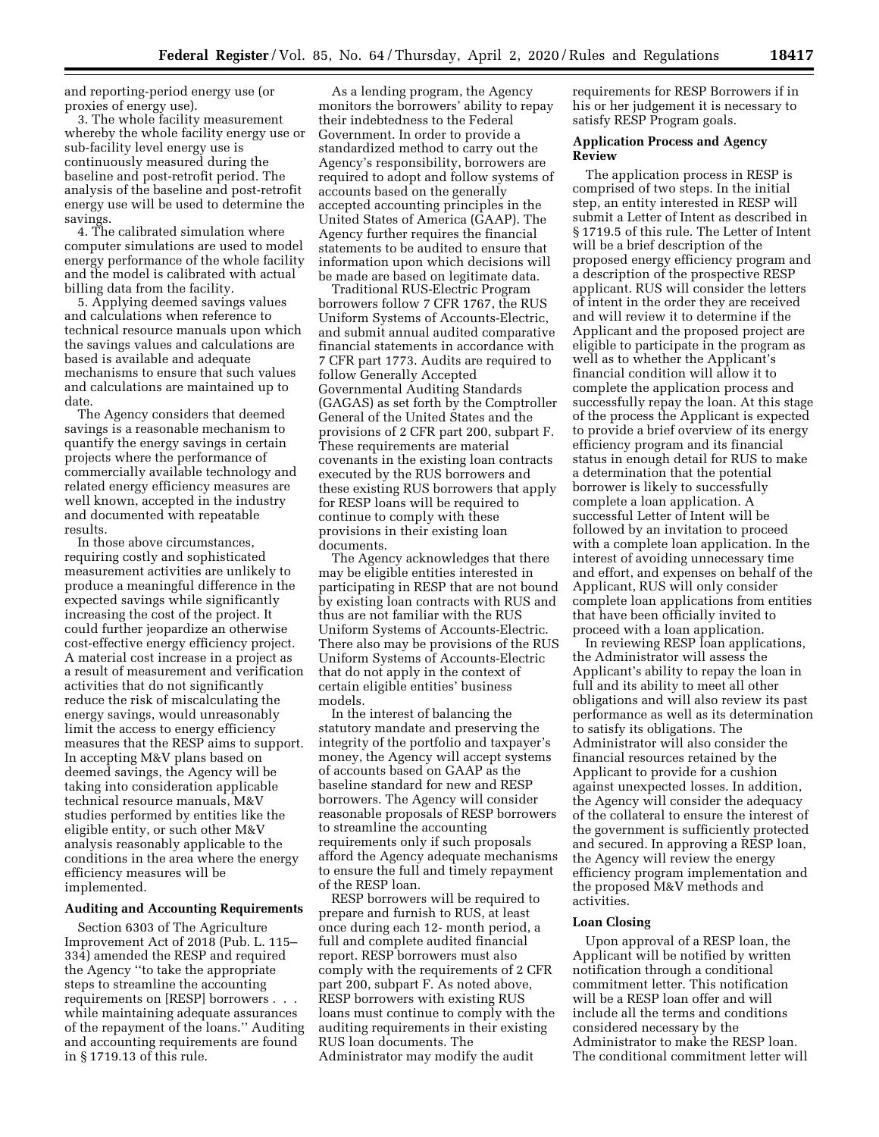and reporting-period energy use (or proxies of energy use).

3. The whole facility measurement whereby the whole facility energy use or sub-facility level energy use is continuously measured during the baseline and post-retrofit period. The analysis of the baseline and post-retrofit energy use will be used to determine the savings.

4. The calibrated simulation where computer simulations are used to model energy performance of the whole facility and the model is calibrated with actual billing data from the facility.

5. Applying deemed savings values and calculations when reference to technical resource manuals upon which the savings values and calculations are based is available and adequate mechanisms to ensure that such values and calculations are maintained up to date.

The Agency considers that deemed savings is a reasonable mechanism to quantify the energy savings in certain projects where the performance of commercially available technology and related energy efficiency measures are well known, accepted in the industry and documented with repeatable results.

In those above circumstances, requiring costly and sophisticated measurement activities are unlikely to produce a meaningful difference in the expected savings while significantly increasing the cost of the project. It could further jeopardize an otherwise cost-effective energy efficiency project. A material cost increase in a project as a result of measurement and verification activities that do not significantly reduce the risk of miscalculating the energy savings, would unreasonably limit the access to energy efficiency measures that the RESP aims to support. In accepting M&V plans based on deemed savings, the Agency will be taking into consideration applicable technical resource manuals, M&V studies performed by entities like the eligible entity, or such other M&V analysis reasonably applicable to the conditions in the area where the energy efficiency measures will be implemented.

# **Auditing and Accounting Requirements**

Section 6303 of The Agriculture Improvement Act of 2018 (Pub. L. 115– 334) amended the RESP and required the Agency ''to take the appropriate steps to streamline the accounting requirements on [RESP] borrowers . . . while maintaining adequate assurances of the repayment of the loans.'' Auditing and accounting requirements are found in § 1719.13 of this rule.

As a lending program, the Agency monitors the borrowers' ability to repay their indebtedness to the Federal Government. In order to provide a standardized method to carry out the Agency's responsibility, borrowers are required to adopt and follow systems of accounts based on the generally accepted accounting principles in the United States of America (GAAP). The Agency further requires the financial statements to be audited to ensure that information upon which decisions will be made are based on legitimate data.

Traditional RUS-Electric Program borrowers follow 7 CFR 1767, the RUS Uniform Systems of Accounts-Electric, and submit annual audited comparative financial statements in accordance with 7 CFR part 1773. Audits are required to follow Generally Accepted Governmental Auditing Standards (GAGAS) as set forth by the Comptroller General of the United States and the provisions of 2 CFR part 200, subpart F. These requirements are material covenants in the existing loan contracts executed by the RUS borrowers and these existing RUS borrowers that apply for RESP loans will be required to continue to comply with these provisions in their existing loan documents.

The Agency acknowledges that there may be eligible entities interested in participating in RESP that are not bound by existing loan contracts with RUS and thus are not familiar with the RUS Uniform Systems of Accounts-Electric. There also may be provisions of the RUS Uniform Systems of Accounts-Electric that do not apply in the context of certain eligible entities' business models.

In the interest of balancing the statutory mandate and preserving the integrity of the portfolio and taxpayer's money, the Agency will accept systems of accounts based on GAAP as the baseline standard for new and RESP borrowers. The Agency will consider reasonable proposals of RESP borrowers to streamline the accounting requirements only if such proposals afford the Agency adequate mechanisms to ensure the full and timely repayment of the RESP loan.

RESP borrowers will be required to prepare and furnish to RUS, at least once during each 12- month period, a full and complete audited financial report. RESP borrowers must also comply with the requirements of 2 CFR part 200, subpart F. As noted above, RESP borrowers with existing RUS loans must continue to comply with the auditing requirements in their existing RUS loan documents. The Administrator may modify the audit

requirements for RESP Borrowers if in his or her judgement it is necessary to satisfy RESP Program goals.

# **Application Process and Agency Review**

The application process in RESP is comprised of two steps. In the initial step, an entity interested in RESP will submit a Letter of Intent as described in § 1719.5 of this rule. The Letter of Intent will be a brief description of the proposed energy efficiency program and a description of the prospective RESP applicant. RUS will consider the letters of intent in the order they are received and will review it to determine if the Applicant and the proposed project are eligible to participate in the program as well as to whether the Applicant's financial condition will allow it to complete the application process and successfully repay the loan. At this stage of the process the Applicant is expected to provide a brief overview of its energy efficiency program and its financial status in enough detail for RUS to make a determination that the potential borrower is likely to successfully complete a loan application. A successful Letter of Intent will be followed by an invitation to proceed with a complete loan application. In the interest of avoiding unnecessary time and effort, and expenses on behalf of the Applicant, RUS will only consider complete loan applications from entities that have been officially invited to proceed with a loan application.

In reviewing RESP loan applications, the Administrator will assess the Applicant's ability to repay the loan in full and its ability to meet all other obligations and will also review its past performance as well as its determination to satisfy its obligations. The Administrator will also consider the financial resources retained by the Applicant to provide for a cushion against unexpected losses. In addition, the Agency will consider the adequacy of the collateral to ensure the interest of the government is sufficiently protected and secured. In approving a RESP loan, the Agency will review the energy efficiency program implementation and the proposed M&V methods and activities.

#### **Loan Closing**

Upon approval of a RESP loan, the Applicant will be notified by written notification through a conditional commitment letter. This notification will be a RESP loan offer and will include all the terms and conditions considered necessary by the Administrator to make the RESP loan. The conditional commitment letter will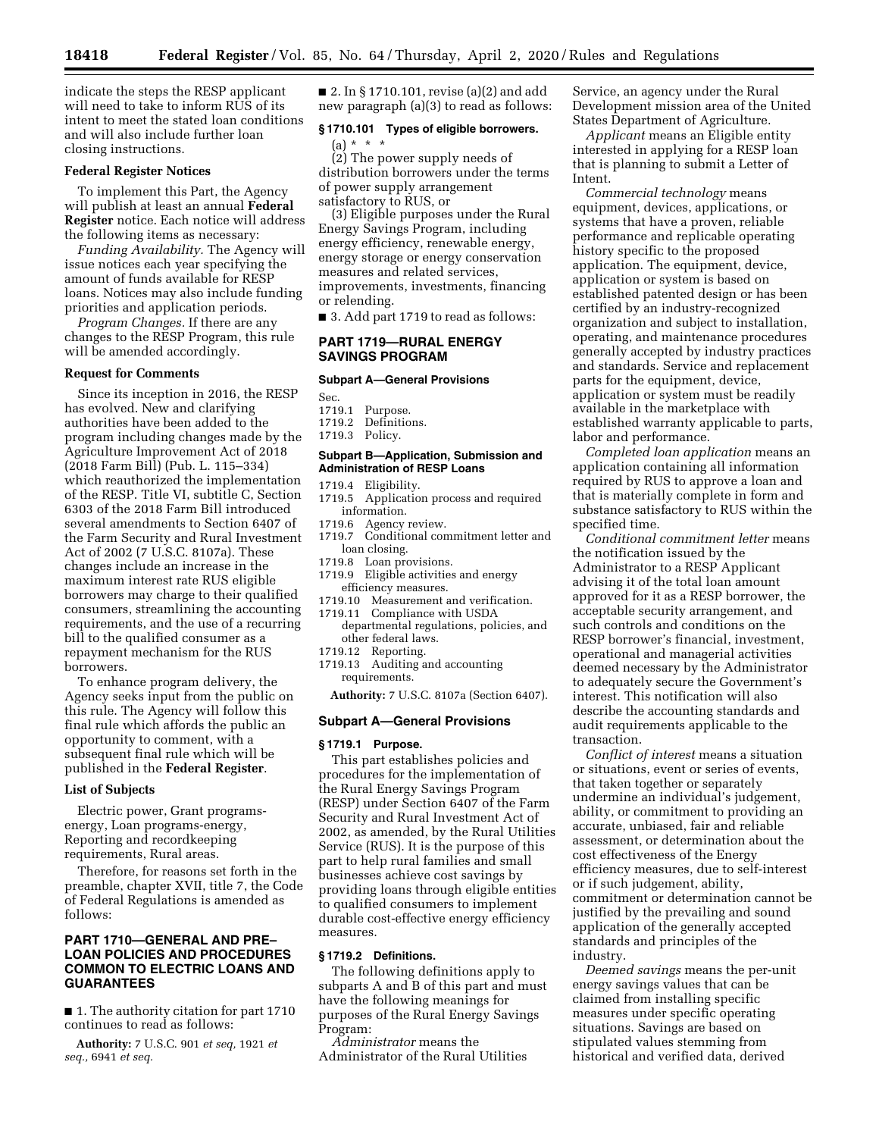indicate the steps the RESP applicant will need to take to inform RUS of its intent to meet the stated loan conditions and will also include further loan closing instructions.

# **Federal Register Notices**

To implement this Part, the Agency will publish at least an annual **Federal Register** notice. Each notice will address the following items as necessary:

*Funding Availability.* The Agency will issue notices each year specifying the amount of funds available for RESP loans. Notices may also include funding priorities and application periods.

*Program Changes.* If there are any changes to the RESP Program, this rule will be amended accordingly.

## **Request for Comments**

Since its inception in 2016, the RESP has evolved. New and clarifying authorities have been added to the program including changes made by the Agriculture Improvement Act of 2018 (2018 Farm Bill) (Pub. L. 115–334) which reauthorized the implementation of the RESP. Title VI, subtitle C, Section 6303 of the 2018 Farm Bill introduced several amendments to Section 6407 of the Farm Security and Rural Investment Act of 2002 (7 U.S.C. 8107a). These changes include an increase in the maximum interest rate RUS eligible borrowers may charge to their qualified consumers, streamlining the accounting requirements, and the use of a recurring bill to the qualified consumer as a repayment mechanism for the RUS borrowers.

To enhance program delivery, the Agency seeks input from the public on this rule. The Agency will follow this final rule which affords the public an opportunity to comment, with a subsequent final rule which will be published in the **Federal Register**.

#### **List of Subjects**

Electric power, Grant programsenergy, Loan programs-energy, Reporting and recordkeeping requirements, Rural areas.

Therefore, for reasons set forth in the preamble, chapter XVII, title 7, the Code of Federal Regulations is amended as follows:

# **PART 1710—GENERAL AND PRE– LOAN POLICIES AND PROCEDURES COMMON TO ELECTRIC LOANS AND GUARANTEES**

■ 1. The authority citation for part 1710 continues to read as follows:

**Authority:** 7 U.S.C. 901 *et seq,* 1921 *et seq.,* 6941 *et seq.* 

■ 2. In § 1710.101, revise (a)(2) and add new paragraph (a)(3) to read as follows:

# **§ 1710.101 Types of eligible borrowers.**

 $(a) * *$ (2) The power supply needs of distribution borrowers under the terms of power supply arrangement satisfactory to RUS, or

(3) Eligible purposes under the Rural Energy Savings Program, including energy efficiency, renewable energy, energy storage or energy conservation measures and related services, improvements, investments, financing or relending.

■ 3. Add part 1719 to read as follows:

# **PART 1719—RURAL ENERGY SAVINGS PROGRAM**

## **Subpart A—General Provisions**

Sec.<br>1719.1

- Purpose.
- 1719.2 Definitions.
- 1719.3 Policy.

# **Subpart B—Application, Submission and Administration of RESP Loans**

1719.4 Eligibility.

- 1719.5 Application process and required information.
- 1719.6 Agency review.
- 1719.7 Conditional commitment letter and loan closing.
- 1719.8 Loan provisions. 1719.9 Eligible activities and energy efficiency measures.
- 1719.10 Measurement and verification.
- 1719.11 Compliance with USDA
- departmental regulations, policies, and other federal laws.
- 1719.12 Reporting.
- 1719.13 Auditing and accounting requirements.

**Authority:** 7 U.S.C. 8107a (Section 6407).

# **Subpart A—General Provisions**

#### **§ 1719.1 Purpose.**

This part establishes policies and procedures for the implementation of the Rural Energy Savings Program (RESP) under Section 6407 of the Farm Security and Rural Investment Act of 2002, as amended, by the Rural Utilities Service (RUS). It is the purpose of this part to help rural families and small businesses achieve cost savings by providing loans through eligible entities to qualified consumers to implement durable cost-effective energy efficiency measures.

# **§ 1719.2 Definitions.**

The following definitions apply to subparts A and B of this part and must have the following meanings for purposes of the Rural Energy Savings Program:

*Administrator* means the Administrator of the Rural Utilities Service, an agency under the Rural Development mission area of the United States Department of Agriculture.

*Applicant* means an Eligible entity interested in applying for a RESP loan that is planning to submit a Letter of Intent.

*Commercial technology* means equipment, devices, applications, or systems that have a proven, reliable performance and replicable operating history specific to the proposed application. The equipment, device, application or system is based on established patented design or has been certified by an industry-recognized organization and subject to installation, operating, and maintenance procedures generally accepted by industry practices and standards. Service and replacement parts for the equipment, device, application or system must be readily available in the marketplace with established warranty applicable to parts, labor and performance.

*Completed loan application* means an application containing all information required by RUS to approve a loan and that is materially complete in form and substance satisfactory to RUS within the specified time.

*Conditional commitment letter* means the notification issued by the Administrator to a RESP Applicant advising it of the total loan amount approved for it as a RESP borrower, the acceptable security arrangement, and such controls and conditions on the RESP borrower's financial, investment, operational and managerial activities deemed necessary by the Administrator to adequately secure the Government's interest. This notification will also describe the accounting standards and audit requirements applicable to the transaction.

*Conflict of interest* means a situation or situations, event or series of events, that taken together or separately undermine an individual's judgement, ability, or commitment to providing an accurate, unbiased, fair and reliable assessment, or determination about the cost effectiveness of the Energy efficiency measures, due to self-interest or if such judgement, ability, commitment or determination cannot be justified by the prevailing and sound application of the generally accepted standards and principles of the industry.

*Deemed savings* means the per-unit energy savings values that can be claimed from installing specific measures under specific operating situations. Savings are based on stipulated values stemming from historical and verified data, derived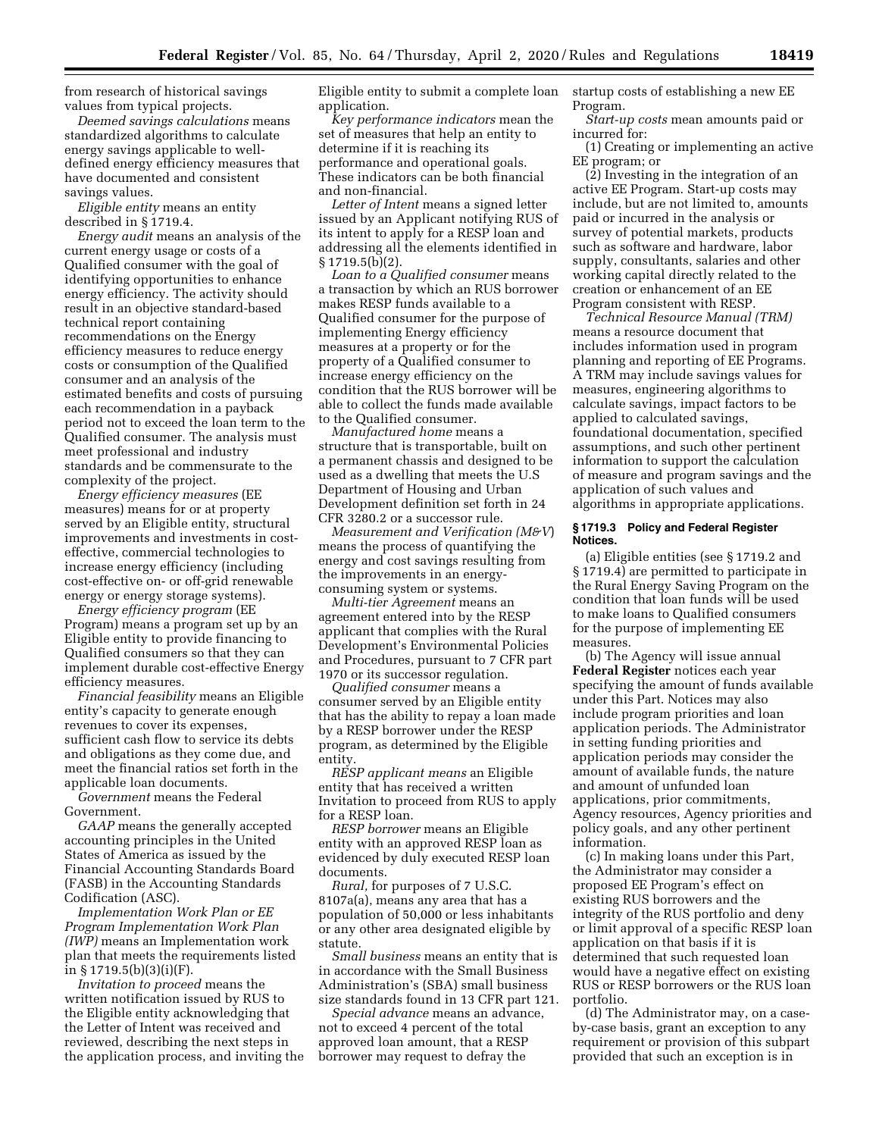from research of historical savings values from typical projects.

*Deemed savings calculations* means standardized algorithms to calculate energy savings applicable to welldefined energy efficiency measures that have documented and consistent savings values.

*Eligible entity* means an entity described in § 1719.4.

*Energy audit* means an analysis of the current energy usage or costs of a Qualified consumer with the goal of identifying opportunities to enhance energy efficiency. The activity should result in an objective standard-based technical report containing recommendations on the Energy efficiency measures to reduce energy costs or consumption of the Qualified consumer and an analysis of the estimated benefits and costs of pursuing each recommendation in a payback period not to exceed the loan term to the Qualified consumer. The analysis must meet professional and industry standards and be commensurate to the complexity of the project.

*Energy efficiency measures* (EE measures) means for or at property served by an Eligible entity, structural improvements and investments in costeffective, commercial technologies to increase energy efficiency (including cost-effective on- or off-grid renewable energy or energy storage systems).

*Energy efficiency program* (EE Program) means a program set up by an Eligible entity to provide financing to Qualified consumers so that they can implement durable cost-effective Energy efficiency measures.

*Financial feasibility* means an Eligible entity's capacity to generate enough revenues to cover its expenses, sufficient cash flow to service its debts and obligations as they come due, and meet the financial ratios set forth in the applicable loan documents.

*Government* means the Federal Government.

*GAAP* means the generally accepted accounting principles in the United States of America as issued by the Financial Accounting Standards Board (FASB) in the Accounting Standards Codification (ASC).

*Implementation Work Plan or EE Program Implementation Work Plan (IWP)* means an Implementation work plan that meets the requirements listed in § 1719.5(b)(3)(i)(F).

*Invitation to proceed* means the written notification issued by RUS to the Eligible entity acknowledging that the Letter of Intent was received and reviewed, describing the next steps in the application process, and inviting the Eligible entity to submit a complete loan application.

*Key performance indicators* mean the set of measures that help an entity to determine if it is reaching its performance and operational goals. These indicators can be both financial and non-financial.

*Letter of Intent* means a signed letter issued by an Applicant notifying RUS of its intent to apply for a RESP loan and addressing all the elements identified in  $§ 1719.5(b)(2).$ 

*Loan to a Qualified consumer* means a transaction by which an RUS borrower makes RESP funds available to a Qualified consumer for the purpose of implementing Energy efficiency measures at a property or for the property of a Qualified consumer to increase energy efficiency on the condition that the RUS borrower will be able to collect the funds made available to the Qualified consumer.

*Manufactured home* means a structure that is transportable, built on a permanent chassis and designed to be used as a dwelling that meets the U.S Department of Housing and Urban Development definition set forth in 24 CFR 3280.2 or a successor rule.

*Measurement and Verification (M&V*) means the process of quantifying the energy and cost savings resulting from the improvements in an energyconsuming system or systems.

*Multi-tier Agreement* means an agreement entered into by the RESP applicant that complies with the Rural Development's Environmental Policies and Procedures, pursuant to 7 CFR part 1970 or its successor regulation.

*Qualified consumer* means a consumer served by an Eligible entity that has the ability to repay a loan made by a RESP borrower under the RESP program, as determined by the Eligible entity.

*RESP applicant means* an Eligible entity that has received a written Invitation to proceed from RUS to apply for a RESP loan.

*RESP borrower* means an Eligible entity with an approved RESP loan as evidenced by duly executed RESP loan documents.

*Rural,* for purposes of 7 U.S.C. 8107a(a), means any area that has a population of 50,000 or less inhabitants or any other area designated eligible by statute.

*Small business* means an entity that is in accordance with the Small Business Administration's (SBA) small business size standards found in 13 CFR part 121.

*Special advance* means an advance, not to exceed 4 percent of the total approved loan amount, that a RESP borrower may request to defray the

startup costs of establishing a new EE Program.

*Start-up costs* mean amounts paid or incurred for:

(1) Creating or implementing an active EE program; or

(2) Investing in the integration of an active EE Program. Start-up costs may include, but are not limited to, amounts paid or incurred in the analysis or survey of potential markets, products such as software and hardware, labor supply, consultants, salaries and other working capital directly related to the creation or enhancement of an EE Program consistent with RESP.

*Technical Resource Manual (TRM)*  means a resource document that includes information used in program planning and reporting of EE Programs. A TRM may include savings values for measures, engineering algorithms to calculate savings, impact factors to be applied to calculated savings, foundational documentation, specified assumptions, and such other pertinent information to support the calculation of measure and program savings and the application of such values and algorithms in appropriate applications.

## **§ 1719.3 Policy and Federal Register Notices.**

(a) Eligible entities (see § 1719.2 and § 1719.4) are permitted to participate in the Rural Energy Saving Program on the condition that loan funds will be used to make loans to Qualified consumers for the purpose of implementing EE measures.

(b) The Agency will issue annual **Federal Register** notices each year specifying the amount of funds available under this Part. Notices may also include program priorities and loan application periods. The Administrator in setting funding priorities and application periods may consider the amount of available funds, the nature and amount of unfunded loan applications, prior commitments, Agency resources, Agency priorities and policy goals, and any other pertinent information.

(c) In making loans under this Part, the Administrator may consider a proposed EE Program's effect on existing RUS borrowers and the integrity of the RUS portfolio and deny or limit approval of a specific RESP loan application on that basis if it is determined that such requested loan would have a negative effect on existing RUS or RESP borrowers or the RUS loan portfolio.

(d) The Administrator may, on a caseby-case basis, grant an exception to any requirement or provision of this subpart provided that such an exception is in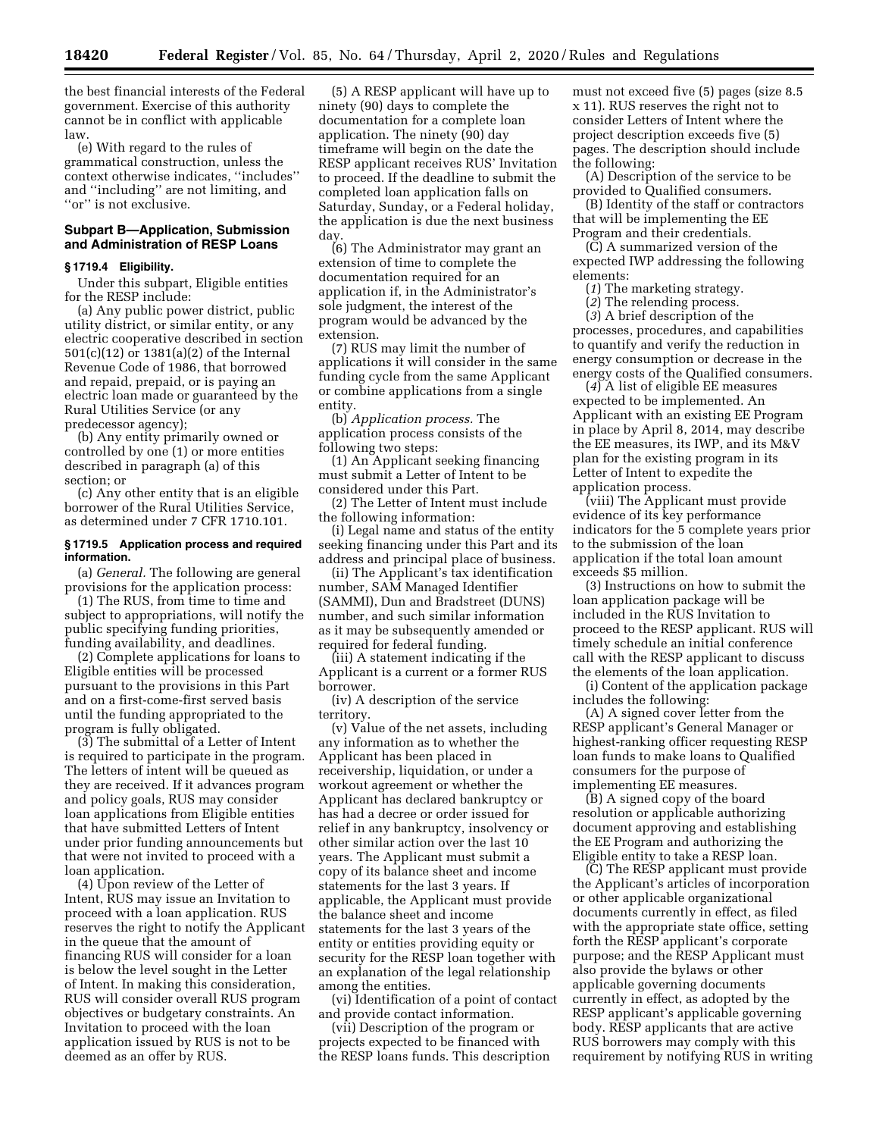the best financial interests of the Federal government. Exercise of this authority cannot be in conflict with applicable law.

(e) With regard to the rules of grammatical construction, unless the context otherwise indicates, ''includes'' and ''including'' are not limiting, and "or" is not exclusive.

## **Subpart B—Application, Submission and Administration of RESP Loans**

#### **§ 1719.4 Eligibility.**

Under this subpart, Eligible entities for the RESP include:

(a) Any public power district, public utility district, or similar entity, or any electric cooperative described in section 501(c)(12) or 1381(a)(2) of the Internal Revenue Code of 1986, that borrowed and repaid, prepaid, or is paying an electric loan made or guaranteed by the Rural Utilities Service (or any predecessor agency);

(b) Any entity primarily owned or controlled by one (1) or more entities described in paragraph (a) of this section; or

(c) Any other entity that is an eligible borrower of the Rural Utilities Service, as determined under 7 CFR 1710.101.

## **§ 1719.5 Application process and required information.**

(a) *General.* The following are general provisions for the application process:

(1) The RUS, from time to time and subject to appropriations, will notify the public specifying funding priorities, funding availability, and deadlines.

(2) Complete applications for loans to Eligible entities will be processed pursuant to the provisions in this Part and on a first-come-first served basis until the funding appropriated to the program is fully obligated.

(3) The submittal of a Letter of Intent is required to participate in the program. The letters of intent will be queued as they are received. If it advances program and policy goals, RUS may consider loan applications from Eligible entities that have submitted Letters of Intent under prior funding announcements but that were not invited to proceed with a loan application.

(4) Upon review of the Letter of Intent, RUS may issue an Invitation to proceed with a loan application. RUS reserves the right to notify the Applicant in the queue that the amount of financing RUS will consider for a loan is below the level sought in the Letter of Intent. In making this consideration, RUS will consider overall RUS program objectives or budgetary constraints. An Invitation to proceed with the loan application issued by RUS is not to be deemed as an offer by RUS.

(5) A RESP applicant will have up to ninety (90) days to complete the documentation for a complete loan application. The ninety (90) day timeframe will begin on the date the RESP applicant receives RUS' Invitation to proceed. If the deadline to submit the completed loan application falls on Saturday, Sunday, or a Federal holiday, the application is due the next business day.

(6) The Administrator may grant an extension of time to complete the documentation required for an application if, in the Administrator's sole judgment, the interest of the program would be advanced by the extension.

(7) RUS may limit the number of applications it will consider in the same funding cycle from the same Applicant or combine applications from a single entity.

(b) *Application process.* The application process consists of the following two steps:

(1) An Applicant seeking financing must submit a Letter of Intent to be considered under this Part.

(2) The Letter of Intent must include the following information:

(i) Legal name and status of the entity seeking financing under this Part and its address and principal place of business.

(ii) The Applicant's tax identification number, SAM Managed Identifier (SAMMI), Dun and Bradstreet (DUNS) number, and such similar information as it may be subsequently amended or required for federal funding.

(iii) A statement indicating if the Applicant is a current or a former RUS borrower.

(iv) A description of the service territory.

(v) Value of the net assets, including any information as to whether the Applicant has been placed in receivership, liquidation, or under a workout agreement or whether the Applicant has declared bankruptcy or has had a decree or order issued for relief in any bankruptcy, insolvency or other similar action over the last 10 years. The Applicant must submit a copy of its balance sheet and income statements for the last 3 years. If applicable, the Applicant must provide the balance sheet and income statements for the last 3 years of the entity or entities providing equity or security for the RESP loan together with an explanation of the legal relationship among the entities.

(vi) Identification of a point of contact and provide contact information.

(vii) Description of the program or projects expected to be financed with the RESP loans funds. This description must not exceed five (5) pages (size 8.5 x 11). RUS reserves the right not to consider Letters of Intent where the project description exceeds five (5) pages. The description should include the following:

(A) Description of the service to be provided to Qualified consumers.

(B) Identity of the staff or contractors that will be implementing the EE Program and their credentials.

(C) A summarized version of the expected IWP addressing the following elements:

(*1*) The marketing strategy.

(*2*) The relending process.

(*3*) A brief description of the processes, procedures, and capabilities to quantify and verify the reduction in energy consumption or decrease in the energy costs of the Qualified consumers.

(*4*) A list of eligible EE measures expected to be implemented. An Applicant with an existing EE Program in place by April 8, 2014, may describe the EE measures, its IWP, and its M&V plan for the existing program in its Letter of Intent to expedite the application process.

(viii) The Applicant must provide evidence of its key performance indicators for the 5 complete years prior to the submission of the loan application if the total loan amount exceeds \$5 million.

(3) Instructions on how to submit the loan application package will be included in the RUS Invitation to proceed to the RESP applicant. RUS will timely schedule an initial conference call with the RESP applicant to discuss the elements of the loan application.

(i) Content of the application package includes the following:

(A) A signed cover letter from the RESP applicant's General Manager or highest-ranking officer requesting RESP loan funds to make loans to Qualified consumers for the purpose of implementing EE measures.

(B) A signed copy of the board resolution or applicable authorizing document approving and establishing the EE Program and authorizing the Eligible entity to take a RESP loan.

(C) The RESP applicant must provide the Applicant's articles of incorporation or other applicable organizational documents currently in effect, as filed with the appropriate state office, setting forth the RESP applicant's corporate purpose; and the RESP Applicant must also provide the bylaws or other applicable governing documents currently in effect, as adopted by the RESP applicant's applicable governing body. RESP applicants that are active RUS borrowers may comply with this requirement by notifying RUS in writing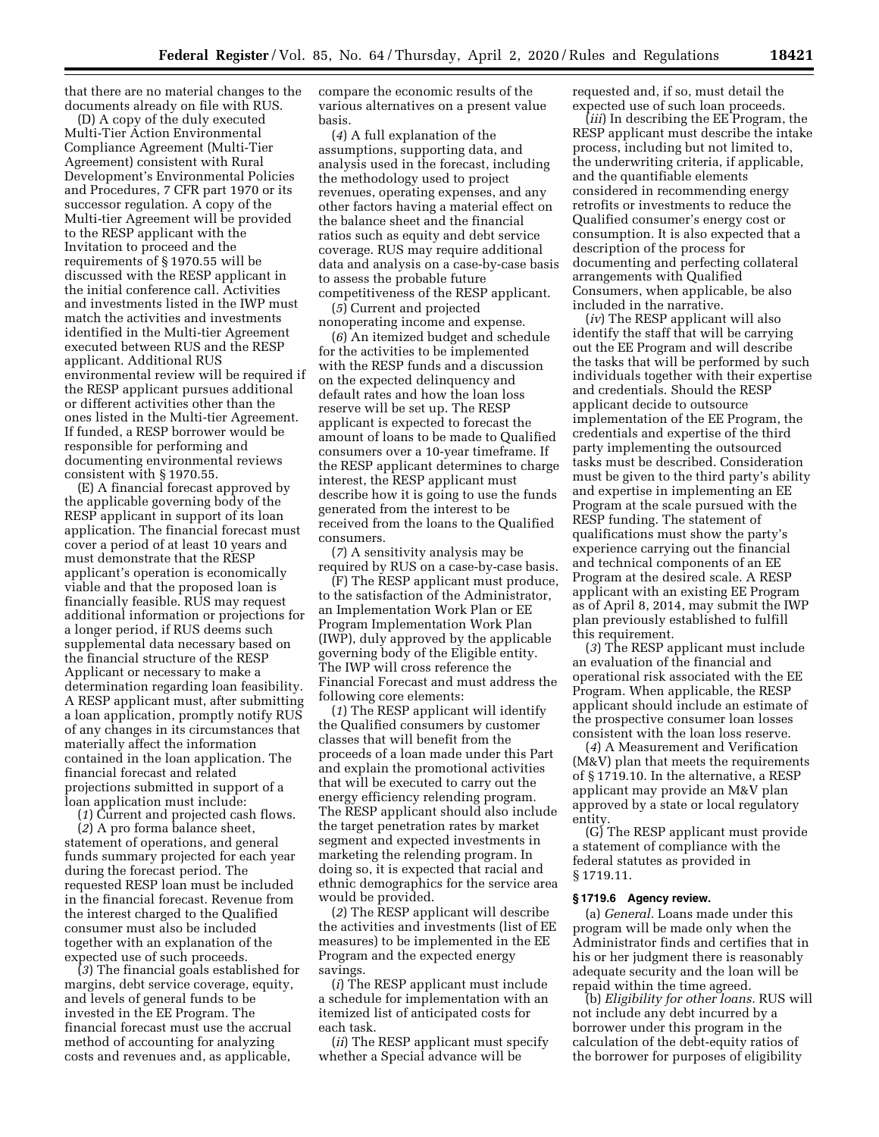that there are no material changes to the documents already on file with RUS.

(D) A copy of the duly executed Multi-Tier Action Environmental Compliance Agreement (Multi-Tier Agreement) consistent with Rural Development's Environmental Policies and Procedures, 7 CFR part 1970 or its successor regulation. A copy of the Multi-tier Agreement will be provided to the RESP applicant with the Invitation to proceed and the requirements of § 1970.55 will be discussed with the RESP applicant in the initial conference call. Activities and investments listed in the IWP must match the activities and investments identified in the Multi-tier Agreement executed between RUS and the RESP applicant. Additional RUS environmental review will be required if the RESP applicant pursues additional or different activities other than the ones listed in the Multi-tier Agreement. If funded, a RESP borrower would be responsible for performing and documenting environmental reviews consistent with § 1970.55.

(E) A financial forecast approved by the applicable governing body of the RESP applicant in support of its loan application. The financial forecast must cover a period of at least 10 years and must demonstrate that the RESP applicant's operation is economically viable and that the proposed loan is financially feasible. RUS may request additional information or projections for a longer period, if RUS deems such supplemental data necessary based on the financial structure of the RESP Applicant or necessary to make a determination regarding loan feasibility. A RESP applicant must, after submitting a loan application, promptly notify RUS of any changes in its circumstances that materially affect the information contained in the loan application. The financial forecast and related projections submitted in support of a loan application must include:

(*1*) Current and projected cash flows. (*2*) A pro forma balance sheet, statement of operations, and general funds summary projected for each year during the forecast period. The requested RESP loan must be included in the financial forecast. Revenue from the interest charged to the Qualified consumer must also be included

expected use of such proceeds. (*3*) The financial goals established for margins, debt service coverage, equity, and levels of general funds to be invested in the EE Program. The financial forecast must use the accrual method of accounting for analyzing costs and revenues and, as applicable,

together with an explanation of the

compare the economic results of the various alternatives on a present value basis.

(*4*) A full explanation of the assumptions, supporting data, and analysis used in the forecast, including the methodology used to project revenues, operating expenses, and any other factors having a material effect on the balance sheet and the financial ratios such as equity and debt service coverage. RUS may require additional data and analysis on a case-by-case basis to assess the probable future competitiveness of the RESP applicant.

(*5*) Current and projected nonoperating income and expense.

(*6*) An itemized budget and schedule for the activities to be implemented with the RESP funds and a discussion on the expected delinquency and default rates and how the loan loss reserve will be set up. The RESP applicant is expected to forecast the amount of loans to be made to Qualified consumers over a 10-year timeframe. If the RESP applicant determines to charge interest, the RESP applicant must describe how it is going to use the funds generated from the interest to be received from the loans to the Qualified consumers.

(*7*) A sensitivity analysis may be required by RUS on a case-by-case basis.

(F) The RESP applicant must produce, to the satisfaction of the Administrator, an Implementation Work Plan or EE Program Implementation Work Plan (IWP), duly approved by the applicable governing body of the Eligible entity. The IWP will cross reference the Financial Forecast and must address the following core elements:

(*1*) The RESP applicant will identify the Qualified consumers by customer classes that will benefit from the proceeds of a loan made under this Part and explain the promotional activities that will be executed to carry out the energy efficiency relending program. The RESP applicant should also include the target penetration rates by market segment and expected investments in marketing the relending program. In doing so, it is expected that racial and ethnic demographics for the service area would be provided.

(*2*) The RESP applicant will describe the activities and investments (list of EE measures) to be implemented in the EE Program and the expected energy savings.

(*i*) The RESP applicant must include a schedule for implementation with an itemized list of anticipated costs for each task.

(*ii*) The RESP applicant must specify whether a Special advance will be

requested and, if so, must detail the expected use of such loan proceeds.

(*iii*) In describing the EE Program, the RESP applicant must describe the intake process, including but not limited to, the underwriting criteria, if applicable, and the quantifiable elements considered in recommending energy retrofits or investments to reduce the Qualified consumer's energy cost or consumption. It is also expected that a description of the process for documenting and perfecting collateral arrangements with Qualified Consumers, when applicable, be also included in the narrative.

(*iv*) The RESP applicant will also identify the staff that will be carrying out the EE Program and will describe the tasks that will be performed by such individuals together with their expertise and credentials. Should the RESP applicant decide to outsource implementation of the EE Program, the credentials and expertise of the third party implementing the outsourced tasks must be described. Consideration must be given to the third party's ability and expertise in implementing an EE Program at the scale pursued with the RESP funding. The statement of qualifications must show the party's experience carrying out the financial and technical components of an EE Program at the desired scale. A RESP applicant with an existing EE Program as of April 8, 2014, may submit the IWP plan previously established to fulfill this requirement.

(*3*) The RESP applicant must include an evaluation of the financial and operational risk associated with the EE Program. When applicable, the RESP applicant should include an estimate of the prospective consumer loan losses consistent with the loan loss reserve.

(*4*) A Measurement and Verification (M&V) plan that meets the requirements of § 1719.10. In the alternative, a RESP applicant may provide an M&V plan approved by a state or local regulatory entity.

(G) The RESP applicant must provide a statement of compliance with the federal statutes as provided in § 1719.11.

## **§ 1719.6 Agency review.**

(a) *General.* Loans made under this program will be made only when the Administrator finds and certifies that in his or her judgment there is reasonably adequate security and the loan will be repaid within the time agreed.

(b) *Eligibility for other loans.* RUS will not include any debt incurred by a borrower under this program in the calculation of the debt-equity ratios of the borrower for purposes of eligibility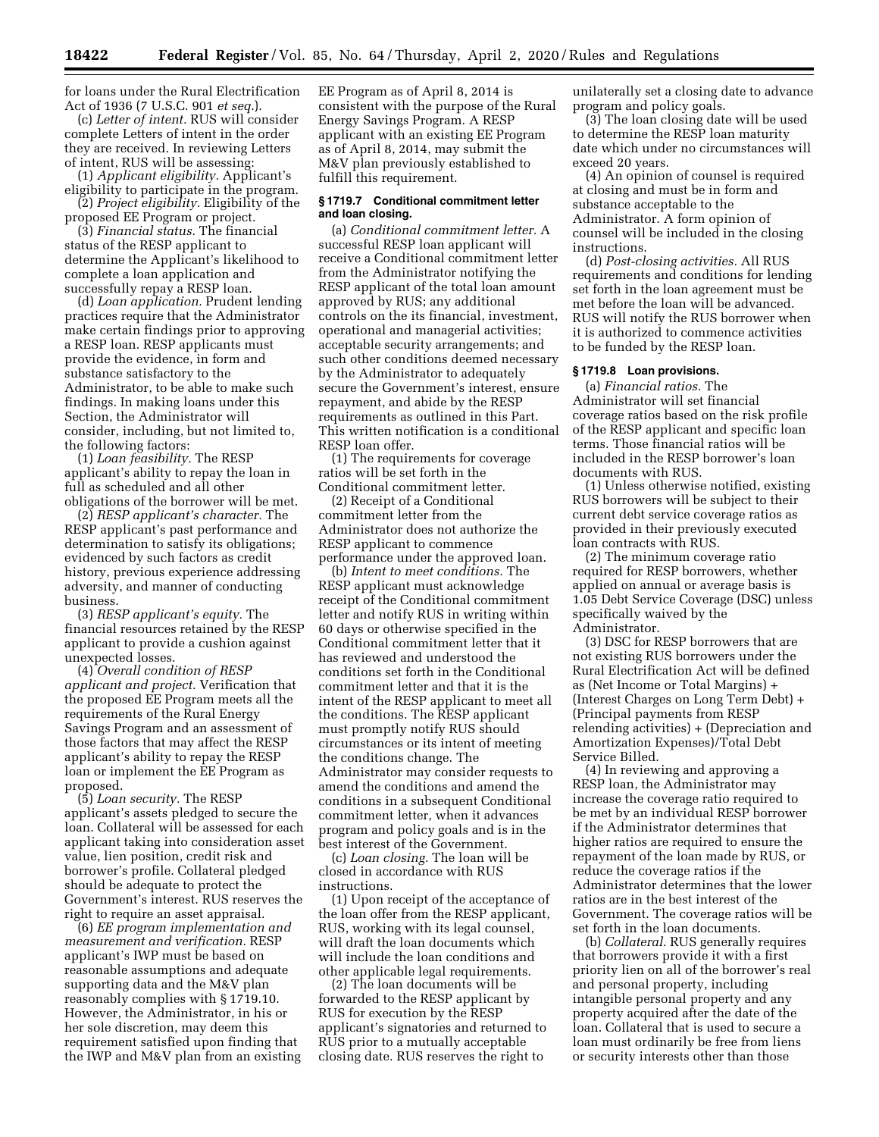for loans under the Rural Electrification Act of 1936 (7 U.S.C. 901 *et seq.*).

(c) *Letter of intent.* RUS will consider complete Letters of intent in the order they are received. In reviewing Letters of intent, RUS will be assessing:

(1) *Applicant eligibility.* Applicant's eligibility to participate in the program. (2) *Project eligibility.* Eligibility of the

proposed EE Program or project. (3) *Financial status.* The financial

status of the RESP applicant to determine the Applicant's likelihood to complete a loan application and successfully repay a RESP loan.

(d) *Loan application.* Prudent lending practices require that the Administrator make certain findings prior to approving a RESP loan. RESP applicants must provide the evidence, in form and substance satisfactory to the Administrator, to be able to make such findings. In making loans under this Section, the Administrator will consider, including, but not limited to, the following factors:

(1) *Loan feasibility.* The RESP applicant's ability to repay the loan in full as scheduled and all other obligations of the borrower will be met.

(2) *RESP applicant's character.* The RESP applicant's past performance and determination to satisfy its obligations; evidenced by such factors as credit history, previous experience addressing adversity, and manner of conducting business.

(3) *RESP applicant's equity.* The financial resources retained by the RESP applicant to provide a cushion against unexpected losses.

(4) *Overall condition of RESP applicant and project.* Verification that the proposed EE Program meets all the requirements of the Rural Energy Savings Program and an assessment of those factors that may affect the RESP applicant's ability to repay the RESP loan or implement the EE Program as proposed.

(5) *Loan security.* The RESP applicant's assets pledged to secure the loan. Collateral will be assessed for each applicant taking into consideration asset value, lien position, credit risk and borrower's profile. Collateral pledged should be adequate to protect the Government's interest. RUS reserves the right to require an asset appraisal.

(6) *EE program implementation and measurement and verification.* RESP applicant's IWP must be based on reasonable assumptions and adequate supporting data and the M&V plan reasonably complies with § 1719.10. However, the Administrator, in his or her sole discretion, may deem this requirement satisfied upon finding that the IWP and M&V plan from an existing EE Program as of April 8, 2014 is consistent with the purpose of the Rural Energy Savings Program. A RESP applicant with an existing EE Program as of April 8, 2014, may submit the M&V plan previously established to fulfill this requirement.

# **§ 1719.7 Conditional commitment letter and loan closing.**

(a) *Conditional commitment letter.* A successful RESP loan applicant will receive a Conditional commitment letter from the Administrator notifying the RESP applicant of the total loan amount approved by RUS; any additional controls on the its financial, investment, operational and managerial activities; acceptable security arrangements; and such other conditions deemed necessary by the Administrator to adequately secure the Government's interest, ensure repayment, and abide by the RESP requirements as outlined in this Part. This written notification is a conditional RESP loan offer.

(1) The requirements for coverage ratios will be set forth in the Conditional commitment letter.

(2) Receipt of a Conditional commitment letter from the Administrator does not authorize the RESP applicant to commence performance under the approved loan.

(b) *Intent to meet conditions.* The RESP applicant must acknowledge receipt of the Conditional commitment letter and notify RUS in writing within 60 days or otherwise specified in the Conditional commitment letter that it has reviewed and understood the conditions set forth in the Conditional commitment letter and that it is the intent of the RESP applicant to meet all the conditions. The RESP applicant must promptly notify RUS should circumstances or its intent of meeting the conditions change. The Administrator may consider requests to amend the conditions and amend the conditions in a subsequent Conditional commitment letter, when it advances program and policy goals and is in the best interest of the Government.

(c) *Loan closing.* The loan will be closed in accordance with RUS instructions.

(1) Upon receipt of the acceptance of the loan offer from the RESP applicant, RUS, working with its legal counsel, will draft the loan documents which will include the loan conditions and other applicable legal requirements.

(2) The loan documents will be forwarded to the RESP applicant by RUS for execution by the RESP applicant's signatories and returned to RUS prior to a mutually acceptable closing date. RUS reserves the right to

unilaterally set a closing date to advance program and policy goals.

(3) The loan closing date will be used to determine the RESP loan maturity date which under no circumstances will exceed 20 years.

(4) An opinion of counsel is required at closing and must be in form and substance acceptable to the Administrator. A form opinion of counsel will be included in the closing instructions.

(d) *Post-closing activities.* All RUS requirements and conditions for lending set forth in the loan agreement must be met before the loan will be advanced. RUS will notify the RUS borrower when it is authorized to commence activities to be funded by the RESP loan.

# **§ 1719.8 Loan provisions.**

(a) *Financial ratios.* The Administrator will set financial coverage ratios based on the risk profile of the RESP applicant and specific loan terms. Those financial ratios will be included in the RESP borrower's loan documents with RUS.

(1) Unless otherwise notified, existing RUS borrowers will be subject to their current debt service coverage ratios as provided in their previously executed loan contracts with RUS.

(2) The minimum coverage ratio required for RESP borrowers, whether applied on annual or average basis is 1.05 Debt Service Coverage (DSC) unless specifically waived by the Administrator.

(3) DSC for RESP borrowers that are not existing RUS borrowers under the Rural Electrification Act will be defined as (Net Income or Total Margins) + (Interest Charges on Long Term Debt) + (Principal payments from RESP relending activities) + (Depreciation and Amortization Expenses)/Total Debt Service Billed.

(4) In reviewing and approving a RESP loan, the Administrator may increase the coverage ratio required to be met by an individual RESP borrower if the Administrator determines that higher ratios are required to ensure the repayment of the loan made by RUS, or reduce the coverage ratios if the Administrator determines that the lower ratios are in the best interest of the Government. The coverage ratios will be set forth in the loan documents.

(b) *Collateral.* RUS generally requires that borrowers provide it with a first priority lien on all of the borrower's real and personal property, including intangible personal property and any property acquired after the date of the loan. Collateral that is used to secure a loan must ordinarily be free from liens or security interests other than those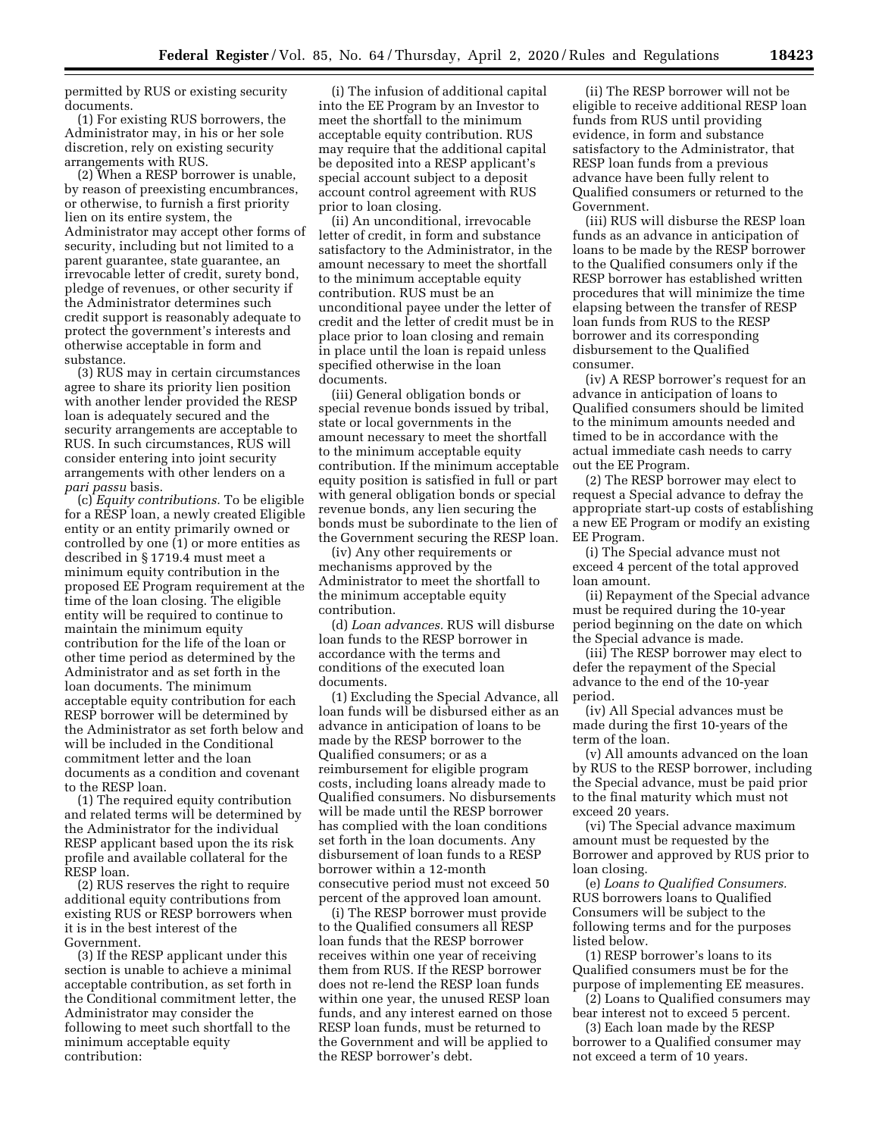permitted by RUS or existing security documents.

(1) For existing RUS borrowers, the Administrator may, in his or her sole discretion, rely on existing security arrangements with RUS.

(2) When a RESP borrower is unable, by reason of preexisting encumbrances, or otherwise, to furnish a first priority lien on its entire system, the Administrator may accept other forms of security, including but not limited to a parent guarantee, state guarantee, an irrevocable letter of credit, surety bond, pledge of revenues, or other security if the Administrator determines such credit support is reasonably adequate to protect the government's interests and otherwise acceptable in form and substance.

(3) RUS may in certain circumstances agree to share its priority lien position with another lender provided the RESP loan is adequately secured and the security arrangements are acceptable to RUS. In such circumstances, RUS will consider entering into joint security arrangements with other lenders on a *pari passu* basis.

(c) *Equity contributions.* To be eligible for a RESP loan, a newly created Eligible entity or an entity primarily owned or controlled by one (1) or more entities as described in § 1719.4 must meet a minimum equity contribution in the proposed EE Program requirement at the time of the loan closing. The eligible entity will be required to continue to maintain the minimum equity contribution for the life of the loan or other time period as determined by the Administrator and as set forth in the loan documents. The minimum acceptable equity contribution for each RESP borrower will be determined by the Administrator as set forth below and will be included in the Conditional commitment letter and the loan documents as a condition and covenant to the RESP loan.

(1) The required equity contribution and related terms will be determined by the Administrator for the individual RESP applicant based upon the its risk profile and available collateral for the RESP loan.

(2) RUS reserves the right to require additional equity contributions from existing RUS or RESP borrowers when it is in the best interest of the Government.

(3) If the RESP applicant under this section is unable to achieve a minimal acceptable contribution, as set forth in the Conditional commitment letter, the Administrator may consider the following to meet such shortfall to the minimum acceptable equity contribution:

(i) The infusion of additional capital into the EE Program by an Investor to meet the shortfall to the minimum acceptable equity contribution. RUS may require that the additional capital be deposited into a RESP applicant's special account subject to a deposit account control agreement with RUS prior to loan closing.

(ii) An unconditional, irrevocable letter of credit, in form and substance satisfactory to the Administrator, in the amount necessary to meet the shortfall to the minimum acceptable equity contribution. RUS must be an unconditional payee under the letter of credit and the letter of credit must be in place prior to loan closing and remain in place until the loan is repaid unless specified otherwise in the loan documents.

(iii) General obligation bonds or special revenue bonds issued by tribal, state or local governments in the amount necessary to meet the shortfall to the minimum acceptable equity contribution. If the minimum acceptable equity position is satisfied in full or part with general obligation bonds or special revenue bonds, any lien securing the bonds must be subordinate to the lien of the Government securing the RESP loan.

(iv) Any other requirements or mechanisms approved by the Administrator to meet the shortfall to the minimum acceptable equity contribution.

(d) *Loan advances.* RUS will disburse loan funds to the RESP borrower in accordance with the terms and conditions of the executed loan documents.

(1) Excluding the Special Advance, all loan funds will be disbursed either as an advance in anticipation of loans to be made by the RESP borrower to the Qualified consumers; or as a reimbursement for eligible program costs, including loans already made to Qualified consumers. No disbursements will be made until the RESP borrower has complied with the loan conditions set forth in the loan documents. Any disbursement of loan funds to a RESP borrower within a 12-month consecutive period must not exceed 50 percent of the approved loan amount.

(i) The RESP borrower must provide to the Qualified consumers all RESP loan funds that the RESP borrower receives within one year of receiving them from RUS. If the RESP borrower does not re-lend the RESP loan funds within one year, the unused RESP loan funds, and any interest earned on those RESP loan funds, must be returned to the Government and will be applied to the RESP borrower's debt.

(ii) The RESP borrower will not be eligible to receive additional RESP loan funds from RUS until providing evidence, in form and substance satisfactory to the Administrator, that RESP loan funds from a previous advance have been fully relent to Qualified consumers or returned to the Government.

(iii) RUS will disburse the RESP loan funds as an advance in anticipation of loans to be made by the RESP borrower to the Qualified consumers only if the RESP borrower has established written procedures that will minimize the time elapsing between the transfer of RESP loan funds from RUS to the RESP borrower and its corresponding disbursement to the Qualified consumer.

(iv) A RESP borrower's request for an advance in anticipation of loans to Qualified consumers should be limited to the minimum amounts needed and timed to be in accordance with the actual immediate cash needs to carry out the EE Program.

(2) The RESP borrower may elect to request a Special advance to defray the appropriate start-up costs of establishing a new EE Program or modify an existing EE Program.

(i) The Special advance must not exceed 4 percent of the total approved loan amount.

(ii) Repayment of the Special advance must be required during the 10-year period beginning on the date on which the Special advance is made.

(iii) The RESP borrower may elect to defer the repayment of the Special advance to the end of the 10-year period.

(iv) All Special advances must be made during the first 10-years of the term of the loan.

(v) All amounts advanced on the loan by RUS to the RESP borrower, including the Special advance, must be paid prior to the final maturity which must not exceed 20 years.

(vi) The Special advance maximum amount must be requested by the Borrower and approved by RUS prior to loan closing.

(e) *Loans to Qualified Consumers.*  RUS borrowers loans to Qualified Consumers will be subject to the following terms and for the purposes listed below.

(1) RESP borrower's loans to its Qualified consumers must be for the purpose of implementing EE measures.

(2) Loans to Qualified consumers may bear interest not to exceed 5 percent.

(3) Each loan made by the RESP borrower to a Qualified consumer may not exceed a term of 10 years.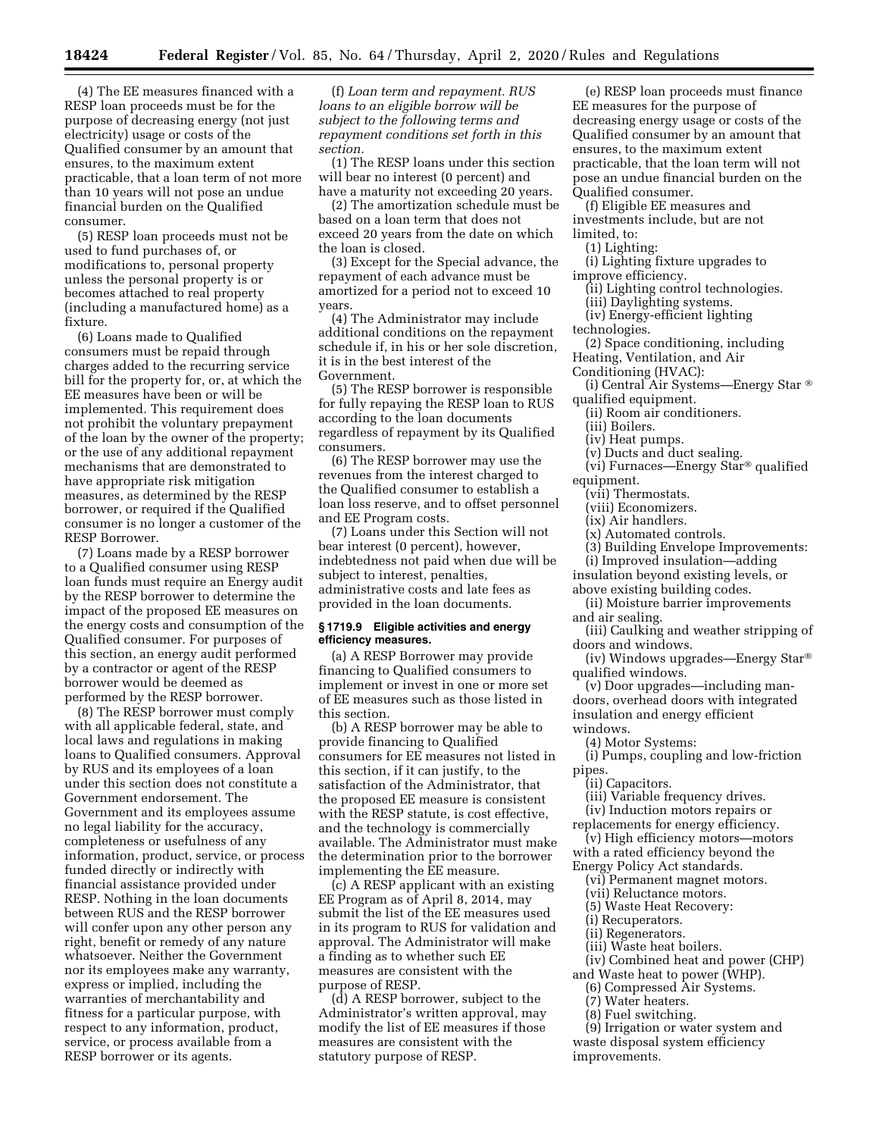(4) The EE measures financed with a RESP loan proceeds must be for the purpose of decreasing energy (not just electricity) usage or costs of the Qualified consumer by an amount that ensures, to the maximum extent practicable, that a loan term of not more than 10 years will not pose an undue financial burden on the Qualified consumer.

(5) RESP loan proceeds must not be used to fund purchases of, or modifications to, personal property unless the personal property is or becomes attached to real property (including a manufactured home) as a fixture.

(6) Loans made to Qualified consumers must be repaid through charges added to the recurring service bill for the property for, or, at which the EE measures have been or will be implemented. This requirement does not prohibit the voluntary prepayment of the loan by the owner of the property; or the use of any additional repayment mechanisms that are demonstrated to have appropriate risk mitigation measures, as determined by the RESP borrower, or required if the Qualified consumer is no longer a customer of the RESP Borrower.

(7) Loans made by a RESP borrower to a Qualified consumer using RESP loan funds must require an Energy audit by the RESP borrower to determine the impact of the proposed EE measures on the energy costs and consumption of the Qualified consumer. For purposes of this section, an energy audit performed by a contractor or agent of the RESP borrower would be deemed as performed by the RESP borrower.

(8) The RESP borrower must comply with all applicable federal, state, and local laws and regulations in making loans to Qualified consumers. Approval by RUS and its employees of a loan under this section does not constitute a Government endorsement. The Government and its employees assume no legal liability for the accuracy, completeness or usefulness of any information, product, service, or process funded directly or indirectly with financial assistance provided under RESP. Nothing in the loan documents between RUS and the RESP borrower will confer upon any other person any right, benefit or remedy of any nature whatsoever. Neither the Government nor its employees make any warranty, express or implied, including the warranties of merchantability and fitness for a particular purpose, with respect to any information, product, service, or process available from a RESP borrower or its agents.

(f) *Loan term and repayment. RUS loans to an eligible borrow will be subject to the following terms and repayment conditions set forth in this section.* 

(1) The RESP loans under this section will bear no interest (0 percent) and have a maturity not exceeding 20 years.

(2) The amortization schedule must be based on a loan term that does not exceed 20 years from the date on which the loan is closed.

(3) Except for the Special advance, the repayment of each advance must be amortized for a period not to exceed 10 years.

(4) The Administrator may include additional conditions on the repayment schedule if, in his or her sole discretion, it is in the best interest of the Government.

(5) The RESP borrower is responsible for fully repaying the RESP loan to RUS according to the loan documents regardless of repayment by its Qualified consumers.

(6) The RESP borrower may use the revenues from the interest charged to the Qualified consumer to establish a loan loss reserve, and to offset personnel and EE Program costs.

(7) Loans under this Section will not bear interest (0 percent), however, indebtedness not paid when due will be subject to interest, penalties, administrative costs and late fees as provided in the loan documents.

# **§ 1719.9 Eligible activities and energy efficiency measures.**

(a) A RESP Borrower may provide financing to Qualified consumers to implement or invest in one or more set of EE measures such as those listed in this section.

(b) A RESP borrower may be able to provide financing to Qualified consumers for EE measures not listed in this section, if it can justify, to the satisfaction of the Administrator, that the proposed EE measure is consistent with the RESP statute, is cost effective, and the technology is commercially available. The Administrator must make the determination prior to the borrower implementing the EE measure.

(c) A RESP applicant with an existing EE Program as of April 8, 2014, may submit the list of the EE measures used in its program to RUS for validation and approval. The Administrator will make a finding as to whether such EE measures are consistent with the purpose of RESP.

(d) A RESP borrower, subject to the Administrator's written approval, may modify the list of EE measures if those measures are consistent with the statutory purpose of RESP.

(e) RESP loan proceeds must finance EE measures for the purpose of decreasing energy usage or costs of the Qualified consumer by an amount that ensures, to the maximum extent practicable, that the loan term will not pose an undue financial burden on the Qualified consumer.

(f) Eligible EE measures and

investments include, but are not limited, to:

(1) Lighting:

(i) Lighting fixture upgrades to improve efficiency.

(ii) Lighting control technologies.

- (iii) Daylighting systems.
- (iv) Energy-efficient lighting
- technologies.
- (2) Space conditioning, including Heating, Ventilation, and Air
- Conditioning (HVAC):
- (i) Central Air Systems—Energy Star ® qualified equipment.

(ii) Room air conditioners.

- (iii) Boilers.
- (iv) Heat pumps.
- (v) Ducts and duct sealing.
- (vi) Furnaces—Energy Star® qualified

equipment.

(vii) Thermostats.

(viii) Economizers.

- (ix) Air handlers.
- (x) Automated controls.
- (3) Building Envelope Improvements:
- (i) Improved insulation—adding

insulation beyond existing levels, or

above existing building codes.

- (ii) Moisture barrier improvements and air sealing.
- (iii) Caulking and weather stripping of doors and windows.
- (iv) Windows upgrades—Energy Star® qualified windows.
- (v) Door upgrades—including mandoors, overhead doors with integrated insulation and energy efficient windows.
	- (4) Motor Systems:

(i) Pumps, coupling and low-friction pipes.

(ii) Capacitors.

(iii) Variable frequency drives.

(iv) Induction motors repairs or

replacements for energy efficiency.

(v) High efficiency motors—motors with a rated efficiency beyond the

- Energy Policy Act standards.
	- (vi) Permanent magnet motors.
	- (vii) Reluctance motors.
	- (5) Waste Heat Recovery:
	- (i) Recuperators.
	- (ii) Regenerators.
- (iii) Waste heat boilers.
- (iv) Combined heat and power (CHP)
- and Waste heat to power (WHP).
	- (6) Compressed Air Systems.
	- (7) Water heaters.
	- (8) Fuel switching.

(9) Irrigation or water system and waste disposal system efficiency improvements.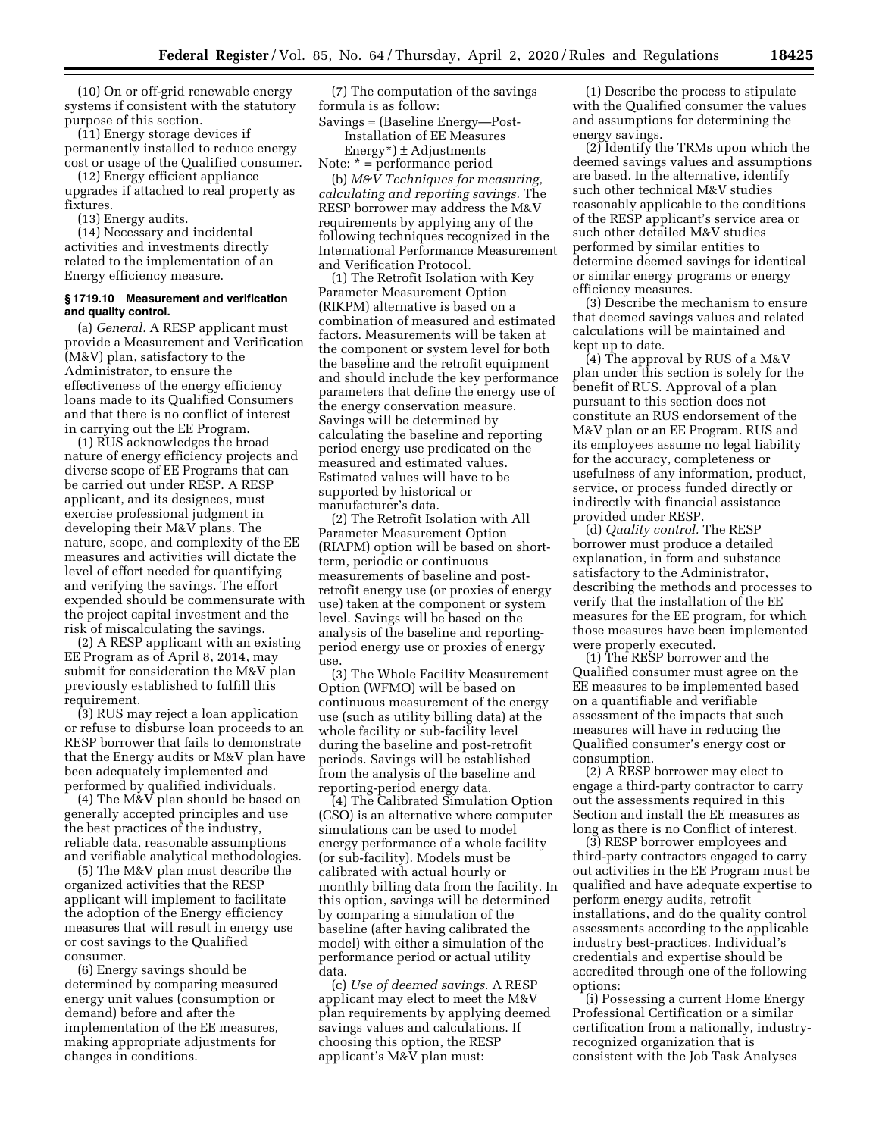(10) On or off-grid renewable energy systems if consistent with the statutory purpose of this section.

(11) Energy storage devices if permanently installed to reduce energy cost or usage of the Qualified consumer.

(12) Energy efficient appliance upgrades if attached to real property as fixtures.

(13) Energy audits.

(14) Necessary and incidental activities and investments directly related to the implementation of an Energy efficiency measure.

## **§ 1719.10 Measurement and verification and quality control.**

(a) *General.* A RESP applicant must provide a Measurement and Verification (M&V) plan, satisfactory to the Administrator, to ensure the effectiveness of the energy efficiency loans made to its Qualified Consumers and that there is no conflict of interest in carrying out the EE Program.

(1) RUS acknowledges the broad nature of energy efficiency projects and diverse scope of EE Programs that can be carried out under RESP. A RESP applicant, and its designees, must exercise professional judgment in developing their M&V plans. The nature, scope, and complexity of the EE measures and activities will dictate the level of effort needed for quantifying and verifying the savings. The effort expended should be commensurate with the project capital investment and the risk of miscalculating the savings.

(2) A RESP applicant with an existing EE Program as of April 8, 2014, may submit for consideration the M&V plan previously established to fulfill this requirement.

(3) RUS may reject a loan application or refuse to disburse loan proceeds to an RESP borrower that fails to demonstrate that the Energy audits or M&V plan have been adequately implemented and performed by qualified individuals.

(4) The M&V plan should be based on generally accepted principles and use the best practices of the industry, reliable data, reasonable assumptions and verifiable analytical methodologies.

(5) The M&V plan must describe the organized activities that the RESP applicant will implement to facilitate the adoption of the Energy efficiency measures that will result in energy use or cost savings to the Qualified consumer.

(6) Energy savings should be determined by comparing measured energy unit values (consumption or demand) before and after the implementation of the EE measures, making appropriate adjustments for changes in conditions.

(7) The computation of the savings formula is as follow:

Savings = (Baseline Energy—Post-Installation of EE Measures  $Energy<sup>*</sup>$ ) ± Adjustments Note: \* = performance period

(b) *M&V Techniques for measuring, calculating and reporting savings.* The RESP borrower may address the M&V requirements by applying any of the following techniques recognized in the International Performance Measurement and Verification Protocol.

(1) The Retrofit Isolation with Key Parameter Measurement Option (RIKPM) alternative is based on a combination of measured and estimated factors. Measurements will be taken at the component or system level for both the baseline and the retrofit equipment and should include the key performance parameters that define the energy use of the energy conservation measure. Savings will be determined by calculating the baseline and reporting period energy use predicated on the measured and estimated values. Estimated values will have to be supported by historical or manufacturer's data.

(2) The Retrofit Isolation with All Parameter Measurement Option (RIAPM) option will be based on shortterm, periodic or continuous measurements of baseline and postretrofit energy use (or proxies of energy use) taken at the component or system level. Savings will be based on the analysis of the baseline and reportingperiod energy use or proxies of energy use.

(3) The Whole Facility Measurement Option (WFMO) will be based on continuous measurement of the energy use (such as utility billing data) at the whole facility or sub-facility level during the baseline and post-retrofit periods. Savings will be established from the analysis of the baseline and reporting-period energy data.

(4) The Calibrated Simulation Option (CSO) is an alternative where computer simulations can be used to model energy performance of a whole facility (or sub-facility). Models must be calibrated with actual hourly or monthly billing data from the facility. In this option, savings will be determined by comparing a simulation of the baseline (after having calibrated the model) with either a simulation of the performance period or actual utility data.

(c) *Use of deemed savings.* A RESP applicant may elect to meet the M&V plan requirements by applying deemed savings values and calculations. If choosing this option, the RESP applicant's M&V plan must:

(1) Describe the process to stipulate with the Qualified consumer the values and assumptions for determining the energy savings.

(2) Identify the TRMs upon which the deemed savings values and assumptions are based. In the alternative, identify such other technical M&V studies reasonably applicable to the conditions of the RESP applicant's service area or such other detailed M&V studies performed by similar entities to determine deemed savings for identical or similar energy programs or energy efficiency measures.

(3) Describe the mechanism to ensure that deemed savings values and related calculations will be maintained and kept up to date.

(4) The approval by RUS of a M&V plan under this section is solely for the benefit of RUS. Approval of a plan pursuant to this section does not constitute an RUS endorsement of the M&V plan or an EE Program. RUS and its employees assume no legal liability for the accuracy, completeness or usefulness of any information, product, service, or process funded directly or indirectly with financial assistance provided under RESP.

(d) *Quality control.* The RESP borrower must produce a detailed explanation, in form and substance satisfactory to the Administrator, describing the methods and processes to verify that the installation of the EE measures for the EE program, for which those measures have been implemented were properly executed.

(1) The RESP borrower and the Qualified consumer must agree on the EE measures to be implemented based on a quantifiable and verifiable assessment of the impacts that such measures will have in reducing the Qualified consumer's energy cost or consumption.

(2) A RESP borrower may elect to engage a third-party contractor to carry out the assessments required in this Section and install the EE measures as long as there is no Conflict of interest.

(3) RESP borrower employees and third-party contractors engaged to carry out activities in the EE Program must be qualified and have adequate expertise to perform energy audits, retrofit installations, and do the quality control assessments according to the applicable industry best-practices. Individual's credentials and expertise should be accredited through one of the following options:

(i) Possessing a current Home Energy Professional Certification or a similar certification from a nationally, industryrecognized organization that is consistent with the Job Task Analyses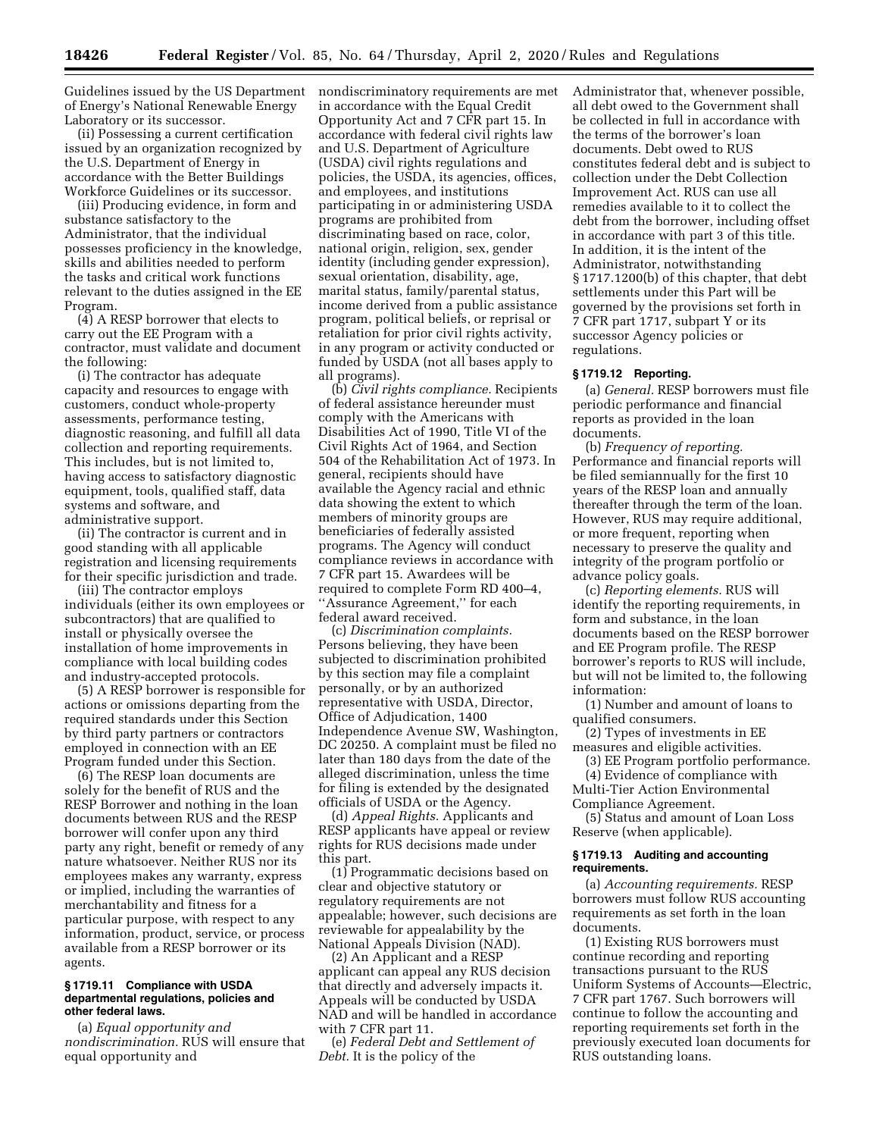Guidelines issued by the US Department nondiscriminatory requirements are met of Energy's National Renewable Energy Laboratory or its successor.

(ii) Possessing a current certification issued by an organization recognized by the U.S. Department of Energy in accordance with the Better Buildings Workforce Guidelines or its successor.

(iii) Producing evidence, in form and substance satisfactory to the Administrator, that the individual possesses proficiency in the knowledge, skills and abilities needed to perform the tasks and critical work functions relevant to the duties assigned in the EE Program.

(4) A RESP borrower that elects to carry out the EE Program with a contractor, must validate and document the following:

(i) The contractor has adequate capacity and resources to engage with customers, conduct whole-property assessments, performance testing, diagnostic reasoning, and fulfill all data collection and reporting requirements. This includes, but is not limited to, having access to satisfactory diagnostic equipment, tools, qualified staff, data systems and software, and administrative support.

(ii) The contractor is current and in good standing with all applicable registration and licensing requirements for their specific jurisdiction and trade.

(iii) The contractor employs individuals (either its own employees or subcontractors) that are qualified to install or physically oversee the installation of home improvements in compliance with local building codes and industry-accepted protocols.

(5) A RESP borrower is responsible for actions or omissions departing from the required standards under this Section by third party partners or contractors employed in connection with an EE Program funded under this Section.

(6) The RESP loan documents are solely for the benefit of RUS and the RESP Borrower and nothing in the loan documents between RUS and the RESP borrower will confer upon any third party any right, benefit or remedy of any nature whatsoever. Neither RUS nor its employees makes any warranty, express or implied, including the warranties of merchantability and fitness for a particular purpose, with respect to any information, product, service, or process available from a RESP borrower or its agents.

# **§ 1719.11 Compliance with USDA departmental regulations, policies and other federal laws.**

(a) *Equal opportunity and nondiscrimination.* RUS will ensure that equal opportunity and

in accordance with the Equal Credit Opportunity Act and 7 CFR part 15. In accordance with federal civil rights law and U.S. Department of Agriculture (USDA) civil rights regulations and policies, the USDA, its agencies, offices, and employees, and institutions participating in or administering USDA programs are prohibited from discriminating based on race, color, national origin, religion, sex, gender identity (including gender expression), sexual orientation, disability, age, marital status, family/parental status, income derived from a public assistance program, political beliefs, or reprisal or retaliation for prior civil rights activity, in any program or activity conducted or funded by USDA (not all bases apply to all programs).

(b) *Civil rights compliance.* Recipients of federal assistance hereunder must comply with the Americans with Disabilities Act of 1990, Title VI of the Civil Rights Act of 1964, and Section 504 of the Rehabilitation Act of 1973. In general, recipients should have available the Agency racial and ethnic data showing the extent to which members of minority groups are beneficiaries of federally assisted programs. The Agency will conduct compliance reviews in accordance with 7 CFR part 15. Awardees will be required to complete Form RD 400–4, ''Assurance Agreement,'' for each federal award received.

(c) *Discrimination complaints.*  Persons believing, they have been subjected to discrimination prohibited by this section may file a complaint personally, or by an authorized representative with USDA, Director, Office of Adjudication, 1400 Independence Avenue SW, Washington, DC 20250. A complaint must be filed no later than 180 days from the date of the alleged discrimination, unless the time for filing is extended by the designated officials of USDA or the Agency.

(d) *Appeal Rights.* Applicants and RESP applicants have appeal or review rights for RUS decisions made under this part.

(1) Programmatic decisions based on clear and objective statutory or regulatory requirements are not appealable; however, such decisions are reviewable for appealability by the National Appeals Division (NAD).

(2) An Applicant and a RESP applicant can appeal any RUS decision that directly and adversely impacts it. Appeals will be conducted by USDA NAD and will be handled in accordance with 7 CFR part 11.

(e) *Federal Debt and Settlement of Debt.* It is the policy of the

Administrator that, whenever possible, all debt owed to the Government shall be collected in full in accordance with the terms of the borrower's loan documents. Debt owed to RUS constitutes federal debt and is subject to collection under the Debt Collection Improvement Act. RUS can use all remedies available to it to collect the debt from the borrower, including offset in accordance with part 3 of this title. In addition, it is the intent of the Administrator, notwithstanding § 1717.1200(b) of this chapter, that debt settlements under this Part will be governed by the provisions set forth in 7 CFR part 1717, subpart Y or its successor Agency policies or regulations.

## **§ 1719.12 Reporting.**

(a) *General.* RESP borrowers must file periodic performance and financial reports as provided in the loan documents.

(b) *Frequency of reporting.*  Performance and financial reports will be filed semiannually for the first 10 years of the RESP loan and annually thereafter through the term of the loan. However, RUS may require additional, or more frequent, reporting when necessary to preserve the quality and integrity of the program portfolio or advance policy goals.

(c) *Reporting elements.* RUS will identify the reporting requirements, in form and substance, in the loan documents based on the RESP borrower and EE Program profile. The RESP borrower's reports to RUS will include, but will not be limited to, the following information:

(1) Number and amount of loans to qualified consumers.

(2) Types of investments in EE measures and eligible activities.

(3) EE Program portfolio performance. (4) Evidence of compliance with

Multi-Tier Action Environmental Compliance Agreement.

(5) Status and amount of Loan Loss Reserve (when applicable).

#### **§ 1719.13 Auditing and accounting requirements.**

(a) *Accounting requirements.* RESP borrowers must follow RUS accounting requirements as set forth in the loan documents.

(1) Existing RUS borrowers must continue recording and reporting transactions pursuant to the RUS Uniform Systems of Accounts—Electric, 7 CFR part 1767. Such borrowers will continue to follow the accounting and reporting requirements set forth in the previously executed loan documents for RUS outstanding loans.